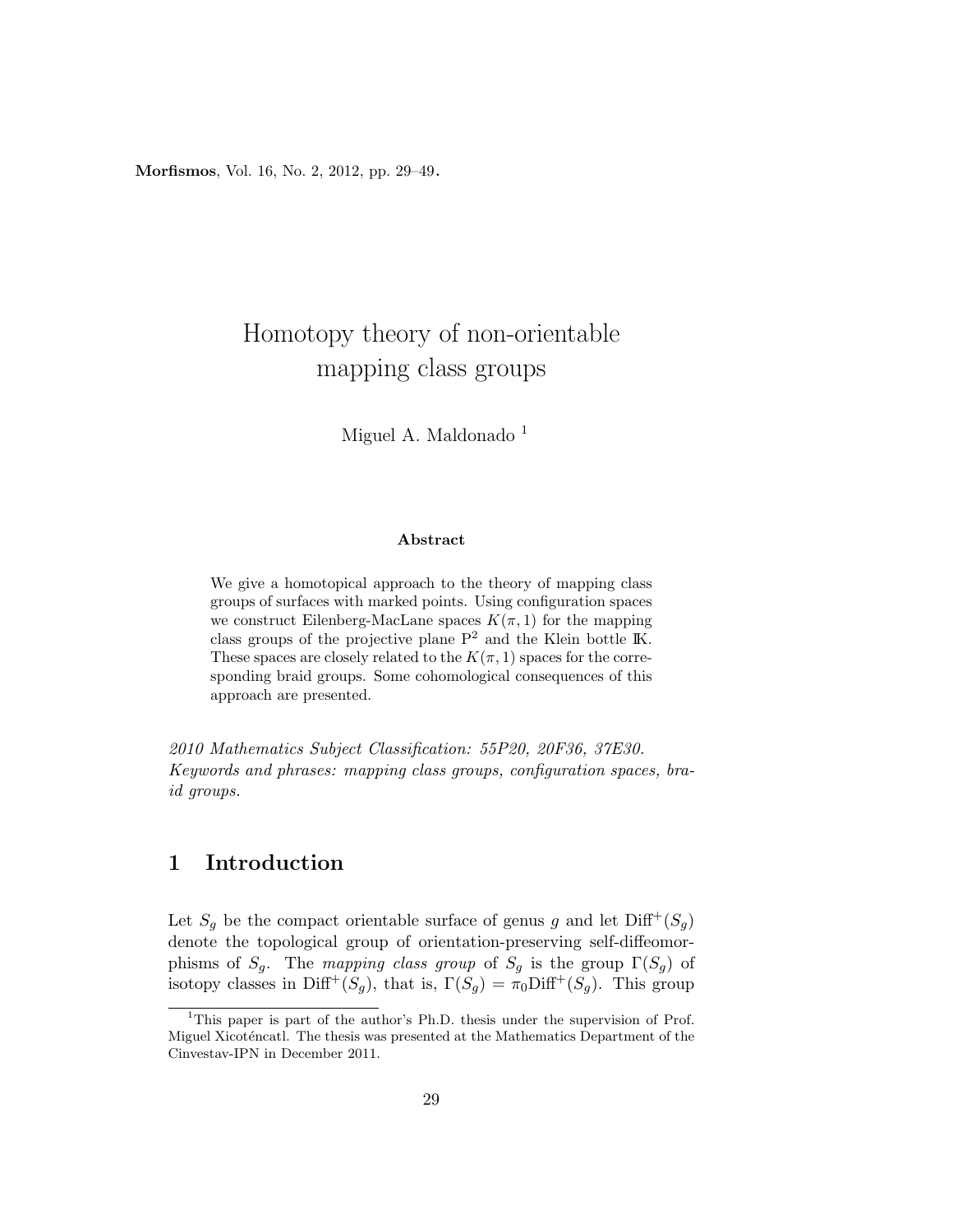Morfismos, Vol. 16, No. 2, 2012, pp. 29–49.

# Homotopy theory of non-orientable mapping class groups

Miguel A. Maldonado<sup>1</sup>

#### Abstract

We give a homotopical approach to the theory of mapping class groups of surfaces with marked points. Using configuration spaces we construct Eilenberg-MacLane spaces  $K(\pi, 1)$  for the mapping class groups of the projective plane  $P^2$  and the Klein bottle IK. These spaces are closely related to the  $K(\pi, 1)$  spaces for the corresponding braid groups. Some cohomological consequences of this approach are presented.

2010 Mathematics Subject Classification: 55P20, 20F36, 37E30. Keywords and phrases: mapping class groups, configuration spaces, braid groups.

## 1 Introduction

Let  $S_q$  be the compact orientable surface of genus g and let  $\text{Diff}^+(S_q)$ denote the topological group of orientation-preserving self-diffeomorphisms of  $S_g$ . The mapping class group of  $S_g$  is the group  $\Gamma(S_g)$  of isotopy classes in Diff<sup>+</sup>(S<sub>g</sub>), that is,  $\Gamma(S_g) = \pi_0 \text{Diff}^+(S_g)$ . This group

<sup>&</sup>lt;sup>1</sup>This paper is part of the author's Ph.D. thesis under the supervision of Prof. Miguel Xicoténcatl. The thesis was presented at the Mathematics Department of the Cinvestav-IPN in December 2011.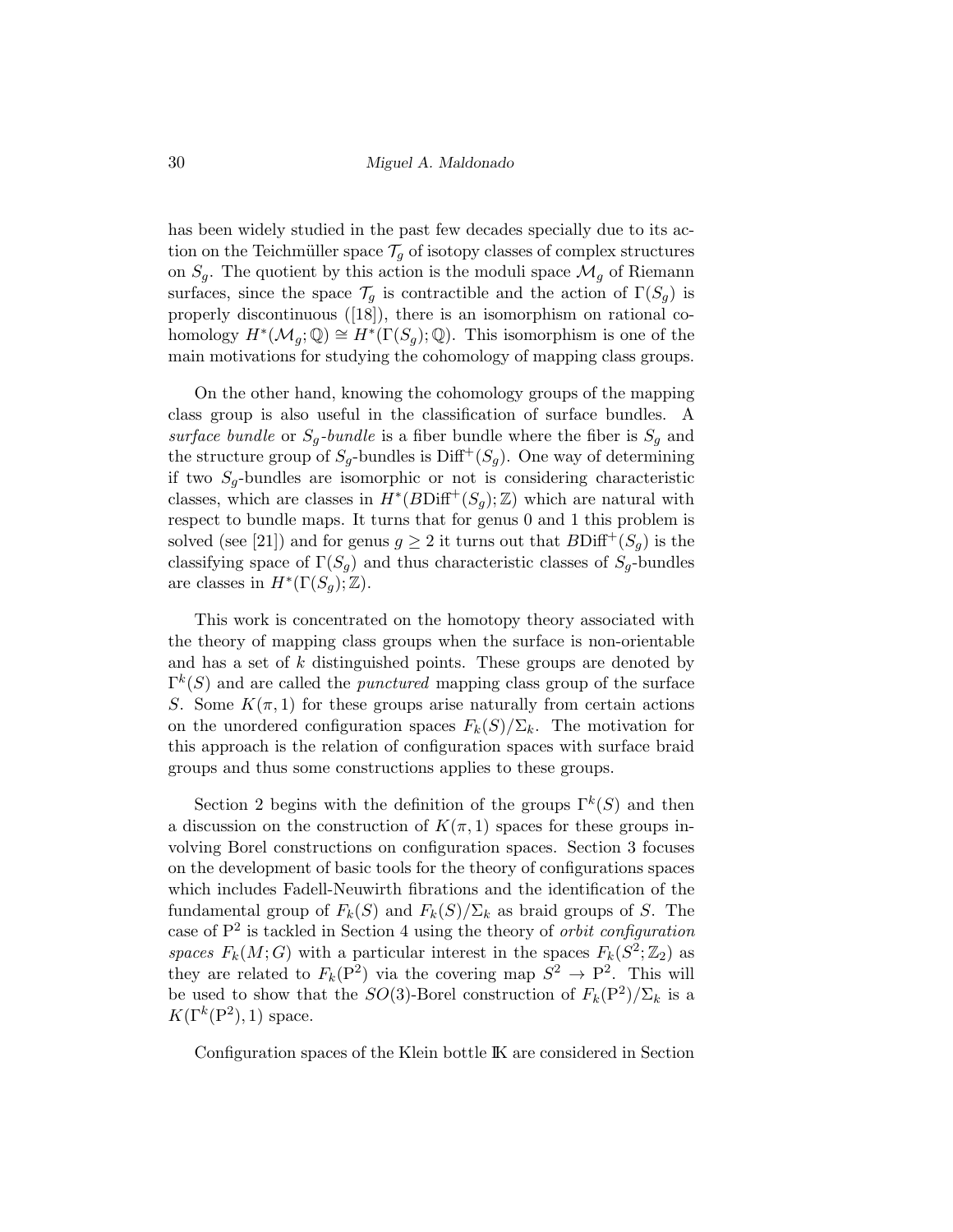has been widely studied in the past few decades specially due to its action on the Teichmüller space  $\mathcal{T}_q$  of isotopy classes of complex structures on  $S_q$ . The quotient by this action is the moduli space  $\mathcal{M}_g$  of Riemann surfaces, since the space  $\mathcal{T}_q$  is contractible and the action of  $\Gamma(S_q)$  is properly discontinuous ([18]), there is an isomorphism on rational cohomology  $H^*(\mathcal{M}_g; \mathbb{Q}) \cong H^*(\Gamma(S_g); \mathbb{Q})$ . This isomorphism is one of the main motivations for studying the cohomology of mapping class groups.

On the other hand, knowing the cohomology groups of the mapping class group is also useful in the classification of surface bundles. A surface bundle or  $S_q$ -bundle is a fiber bundle where the fiber is  $S_q$  and the structure group of  $S_q$ -bundles is Diff<sup>+</sup>( $S_q$ ). One way of determining if two  $S_q$ -bundles are isomorphic or not is considering characteristic classes, which are classes in  $H^*(B\text{Diff}^+(S_g); \mathbb{Z})$  which are natural with respect to bundle maps. It turns that for genus 0 and 1 this problem is solved (see [21]) and for genus  $g \geq 2$  it turns out that  $B\text{Diff}^+(S_q)$  is the classifying space of  $\Gamma(S_g)$  and thus characteristic classes of  $S_g$ -bundles are classes in  $H^*(\Gamma(S_g); \mathbb{Z})$ .

This work is concentrated on the homotopy theory associated with the theory of mapping class groups when the surface is non-orientable and has a set of k distinguished points. These groups are denoted by  $\Gamma^{k}(S)$  and are called the *punctured* mapping class group of the surface S. Some  $K(\pi, 1)$  for these groups arise naturally from certain actions on the unordered configuration spaces  $F_k(S)/\Sigma_k$ . The motivation for this approach is the relation of configuration spaces with surface braid groups and thus some constructions applies to these groups.

Section 2 begins with the definition of the groups  $\Gamma^k(S)$  and then a discussion on the construction of  $K(\pi, 1)$  spaces for these groups involving Borel constructions on configuration spaces. Section 3 focuses on the development of basic tools for the theory of configurations spaces which includes Fadell-Neuwirth fibrations and the identification of the fundamental group of  $F_k(S)$  and  $F_k(S)/\Sigma_k$  as braid groups of S. The case of  $P<sup>2</sup>$  is tackled in Section 4 using the theory of *orbit configuration* spaces  $F_k(M; G)$  with a particular interest in the spaces  $F_k(S^2; \mathbb{Z}_2)$  as they are related to  $F_k(P^2)$  via the covering map  $S^2 \to P^2$ . This will be used to show that the  $SO(3)$ -Borel construction of  $F_k(\mathbb{P}^2)/\Sigma_k$  is a  $K(\Gamma^k(\mathbf{P}^2), 1)$  space.

Configuration spaces of the Klein bottle IK are considered in Section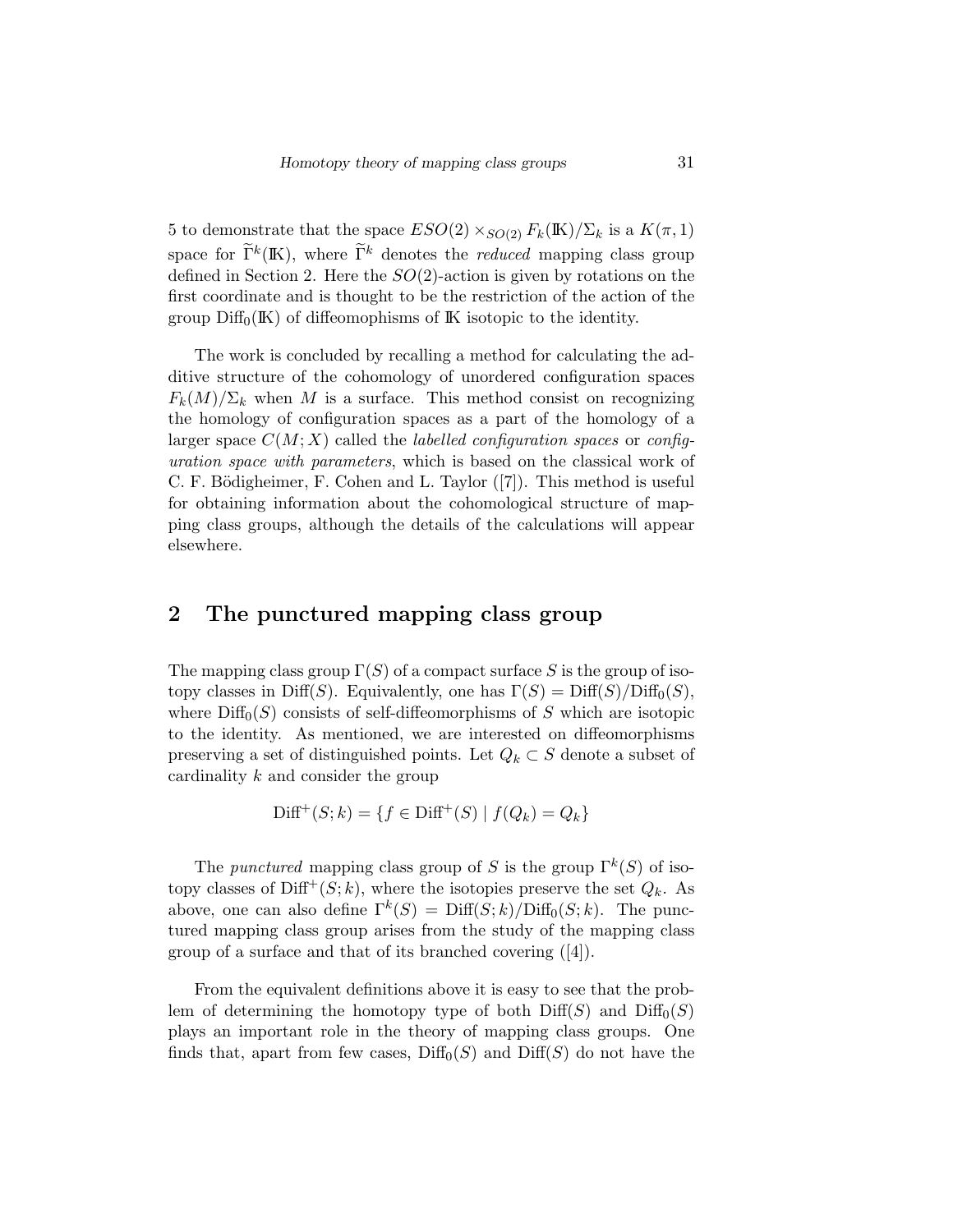5 to demonstrate that the space  $ESO(2) \times_{SO(2)} F_k(\mathbb{K})/\Sigma_k$  is a  $K(\pi, 1)$ space for  $\tilde{\Gamma}^k(\mathbb{K})$ , where  $\tilde{\Gamma}^k$  denotes the *reduced* mapping class group defined in Section 2. Here the  $SO(2)$ -action is given by rotations on the first coordinate and is thought to be the restriction of the action of the group  $\text{Diff}_0(K)$  of diffeomophisms of K isotopic to the identity.

The work is concluded by recalling a method for calculating the additive structure of the cohomology of unordered configuration spaces  $F_k(M)/\Sigma_k$  when M is a surface. This method consist on recognizing the homology of configuration spaces as a part of the homology of a larger space  $C(M; X)$  called the *labelled configuration spaces* or *config*uration space with parameters, which is based on the classical work of C. F. Bödigheimer, F. Cohen and L. Taylor ([7]). This method is useful for obtaining information about the cohomological structure of mapping class groups, although the details of the calculations will appear elsewhere.

## 2 The punctured mapping class group

The mapping class group  $\Gamma(S)$  of a compact surface S is the group of isotopy classes in Diff(S). Equivalently, one has  $\Gamma(S) = \text{Diff}(S)/\text{Diff}_0(S)$ , where  $\text{Diff}_0(S)$  consists of self-diffeomorphisms of S which are isotopic to the identity. As mentioned, we are interested on diffeomorphisms preserving a set of distinguished points. Let  $Q_k \subset S$  denote a subset of cardinality k and consider the group

$$
\text{Diff}^+(S; k) = \{ f \in \text{Diff}^+(S) \mid f(Q_k) = Q_k \}
$$

The *punctured* mapping class group of S is the group  $\Gamma^k(S)$  of isotopy classes of  $\text{Diff}^+(S; k)$ , where the isotopies preserve the set  $Q_k$ . As above, one can also define  $\Gamma^k(S) = \text{Diff}(S; k)/\text{Diff}_0(S; k)$ . The punctured mapping class group arises from the study of the mapping class group of a surface and that of its branched covering ([4]).

From the equivalent definitions above it is easy to see that the problem of determining the homotopy type of both  $\text{Diff}(S)$  and  $\text{Diff}_0(S)$ plays an important role in the theory of mapping class groups. One finds that, apart from few cases,  $\text{Diff}_0(S)$  and  $\text{Diff}(S)$  do not have the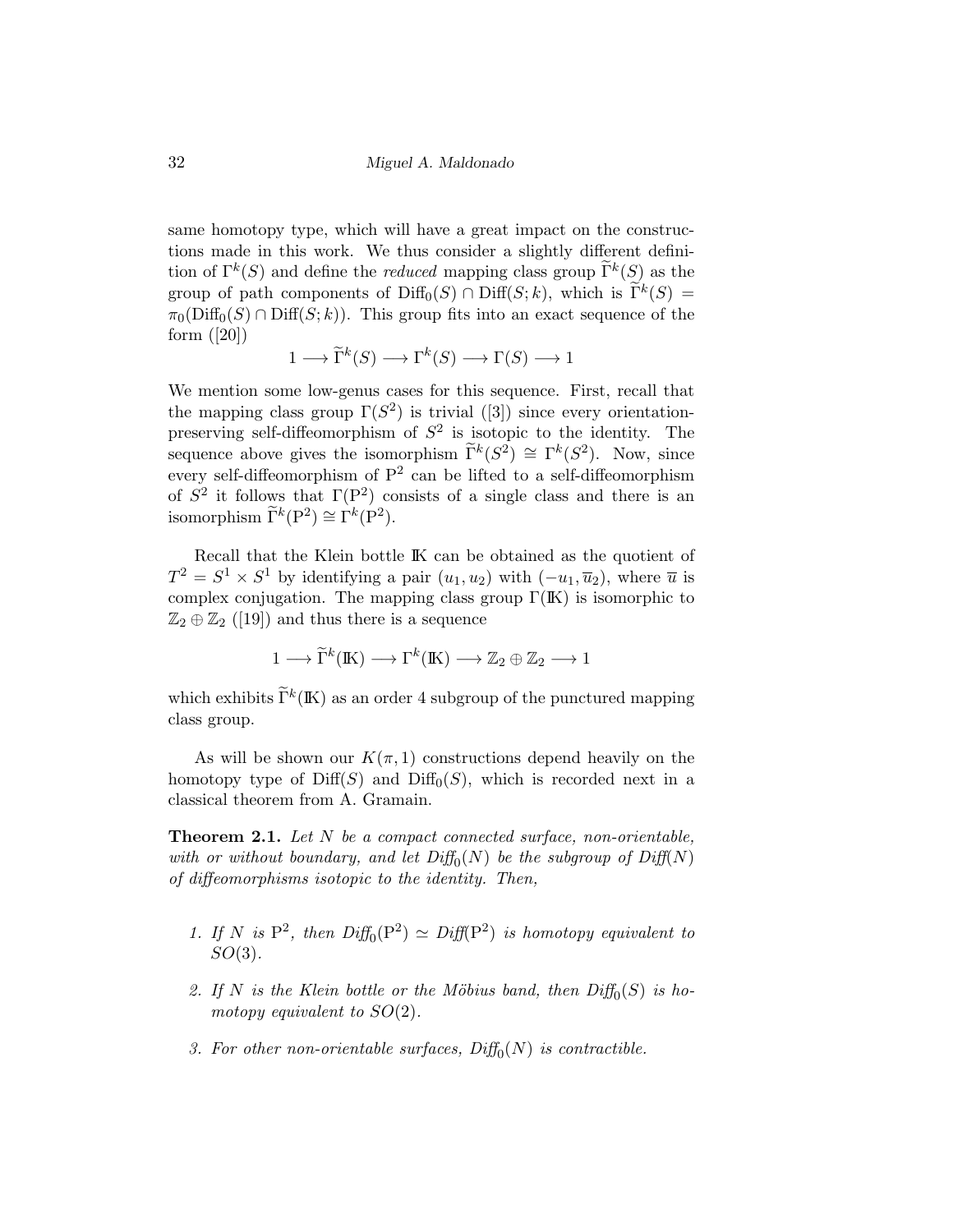32 Miguel A. Maldonado

same homotopy type, which will have a great impact on the constructions made in this work. We thus consider a slightly different definition of  $\Gamma^k(S)$  and define the *reduced* mapping class group  $\widetilde{\Gamma}^k(S)$  as the group of path components of  $\text{Diff}_0(S) \cap \text{Diff}(S; k)$ , which is  $\widetilde{\Gamma}^k(S) =$  $\pi_0(\text{Diff}_0(S) \cap \text{Diff}(S; k))$ . This group fits into an exact sequence of the form ([20])

$$
1 \longrightarrow \widetilde{\Gamma}^k(S) \longrightarrow \Gamma^k(S) \longrightarrow \Gamma(S) \longrightarrow 1
$$

We mention some low-genus cases for this sequence. First, recall that the mapping class group  $\Gamma(S^2)$  is trivial ([3]) since every orientationpreserving self-diffeomorphism of  $S^2$  is isotopic to the identity. The sequence above gives the isomorphism  $\widetilde{\Gamma}^k(S^2) \cong \Gamma^k(S^2)$ . Now, since every self-diffeomorphism of  $P^2$  can be lifted to a self-diffeomorphism of  $S^2$  it follows that  $\Gamma(P^2)$  consists of a single class and there is an isomorphism  $\widetilde{\Gamma}^k(\mathbf{P}^2) \cong \widetilde{\Gamma}^k(\mathbf{P}^2)$ .

Recall that the Klein bottle IK can be obtained as the quotient of  $T^2 = S^1 \times S^1$  by identifying a pair  $(u_1, u_2)$  with  $(-u_1, \overline{u}_2)$ , where  $\overline{u}$  is complex conjugation. The mapping class group  $\Gamma(\mathbb{K})$  is isomorphic to  $\mathbb{Z}_2 \oplus \mathbb{Z}_2$  ([19]) and thus there is a sequence

$$
1 \longrightarrow \widetilde{\Gamma}^k(\mathbb{K}) \longrightarrow \Gamma^k(\mathbb{K}) \longrightarrow \mathbb{Z}_2 \oplus \mathbb{Z}_2 \longrightarrow 1
$$

which exhibits  $\tilde{\Gamma}^k(\mathbb{K})$  as an order 4 subgroup of the punctured mapping class group.

As will be shown our  $K(\pi, 1)$  constructions depend heavily on the homotopy type of  $Diff(S)$  and  $Diff<sub>0</sub>(S)$ , which is recorded next in a classical theorem from A. Gramain.

Theorem 2.1. Let N be a compact connected surface, non-orientable, with or without boundary, and let  $\text{Diff}_0(N)$  be the subgroup of  $\text{Diff}(N)$ of diffeomorphisms isotopic to the identity. Then,

- 1. If N is  $P^2$ , then  $Diff_0(P^2) \simeq Diff(P^2)$  is homotopy equivalent to  $SO(3)$ .
- 2. If N is the Klein bottle or the Möbius band, then  $\text{Diff}_0(S)$  is homotopy equivalent to  $SO(2)$ .
- 3. For other non-orientable surfaces,  $\text{Diff}_0(N)$  is contractible.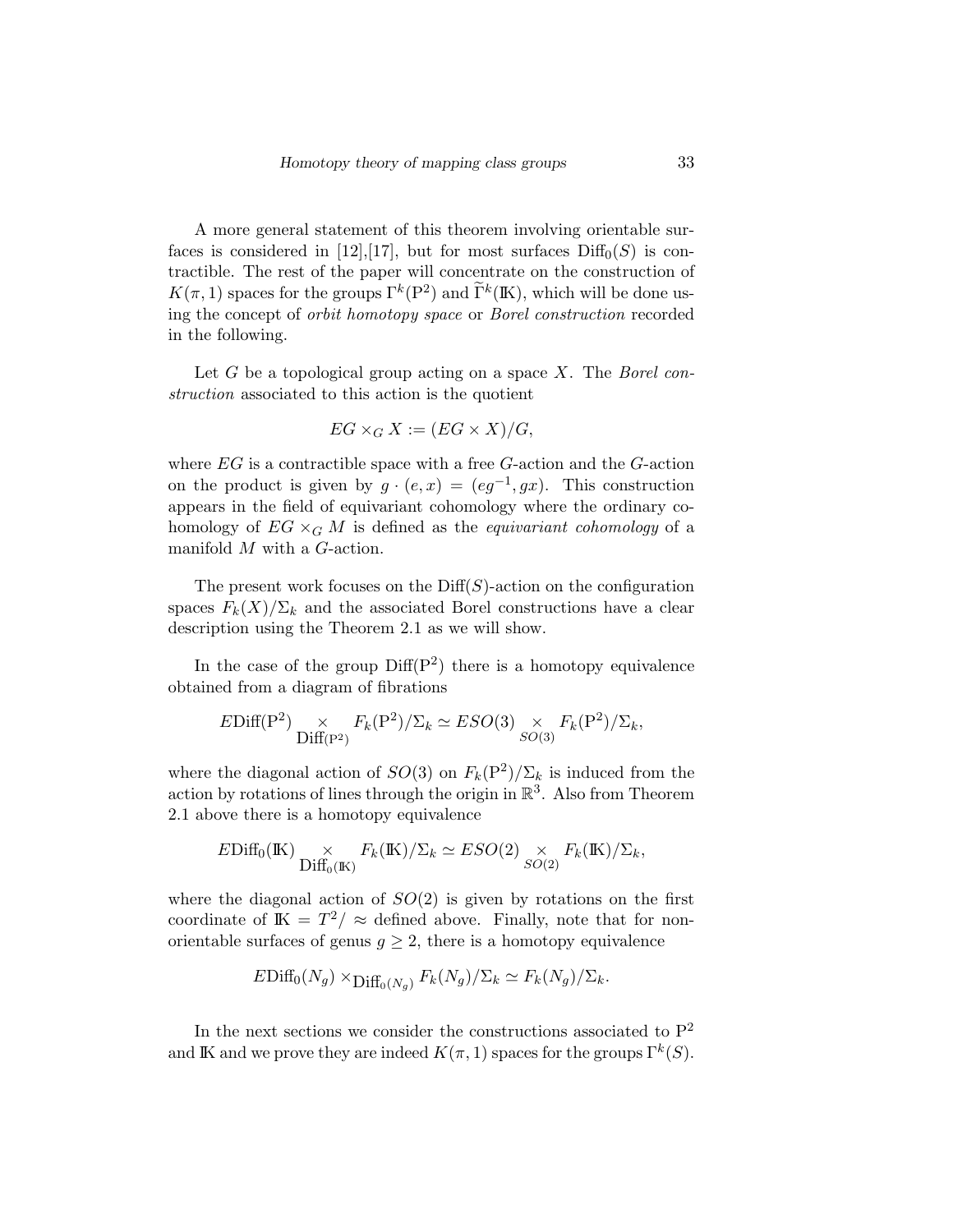A more general statement of this theorem involving orientable surfaces is considered in [12],[17], but for most surfaces  $\text{Diff}_0(S)$  is contractible. The rest of the paper will concentrate on the construction of  $K(\pi, 1)$  spaces for the groups  $\Gamma^k(\mathbb{P}^2)$  and  $\widetilde{\Gamma}^k(\mathbb{K})$ , which will be done using the concept of orbit homotopy space or Borel construction recorded in the following.

Let G be a topological group acting on a space X. The Borel construction associated to this action is the quotient

$$
EG \times_G X := (EG \times X) / G,
$$

where  $EG$  is a contractible space with a free  $G$ -action and the  $G$ -action on the product is given by  $g \cdot (e, x) = (eg^{-1}, gx)$ . This construction appears in the field of equivariant cohomology where the ordinary cohomology of  $EG \times_G M$  is defined as the *equivariant cohomology* of a manifold M with a G-action.

The present work focuses on the  $\text{Diff}(S)$ -action on the configuration spaces  $F_k(X)/\Sigma_k$  and the associated Borel constructions have a clear description using the Theorem 2.1 as we will show.

In the case of the group  $\text{Diff}(P^2)$  there is a homotopy equivalence obtained from a diagram of fibrations

$$
EDiff(P^2) \underset{\text{Diff}(P^2)}{\times} F_k(P^2) / \Sigma_k \simeq ESO(3) \underset{SO(3)}{\times} F_k(P^2) / \Sigma_k,
$$

where the diagonal action of  $SO(3)$  on  $F_k(\mathbb{P}^2)/\Sigma_k$  is induced from the action by rotations of lines through the origin in  $\mathbb{R}^3$ . Also from Theorem 2.1 above there is a homotopy equivalence

$$
E\mathrm{Diff}_0(\mathbb{K}) \underset{\mathrm{Diff}_0(\mathbb{K})}{\times} F_k(\mathbb{K})/\Sigma_k \simeq ESO(2) \underset{SO(2)}{\times} F_k(\mathbb{K})/\Sigma_k,
$$

where the diagonal action of  $SO(2)$  is given by rotations on the first coordinate of  $\mathbb{K} = T^2 / \approx$  defined above. Finally, note that for nonorientable surfaces of genus  $g \geq 2$ , there is a homotopy equivalence

$$
E\mathrm{Diff}_0(N_g) \times_{\mathrm{Diff}_0(N_g)} F_k(N_g)/\Sigma_k \simeq F_k(N_g)/\Sigma_k.
$$

In the next sections we consider the constructions associated to  $\mathbf{P}^2$ and IK and we prove they are indeed  $K(\pi, 1)$  spaces for the groups  $\Gamma^k(S)$ .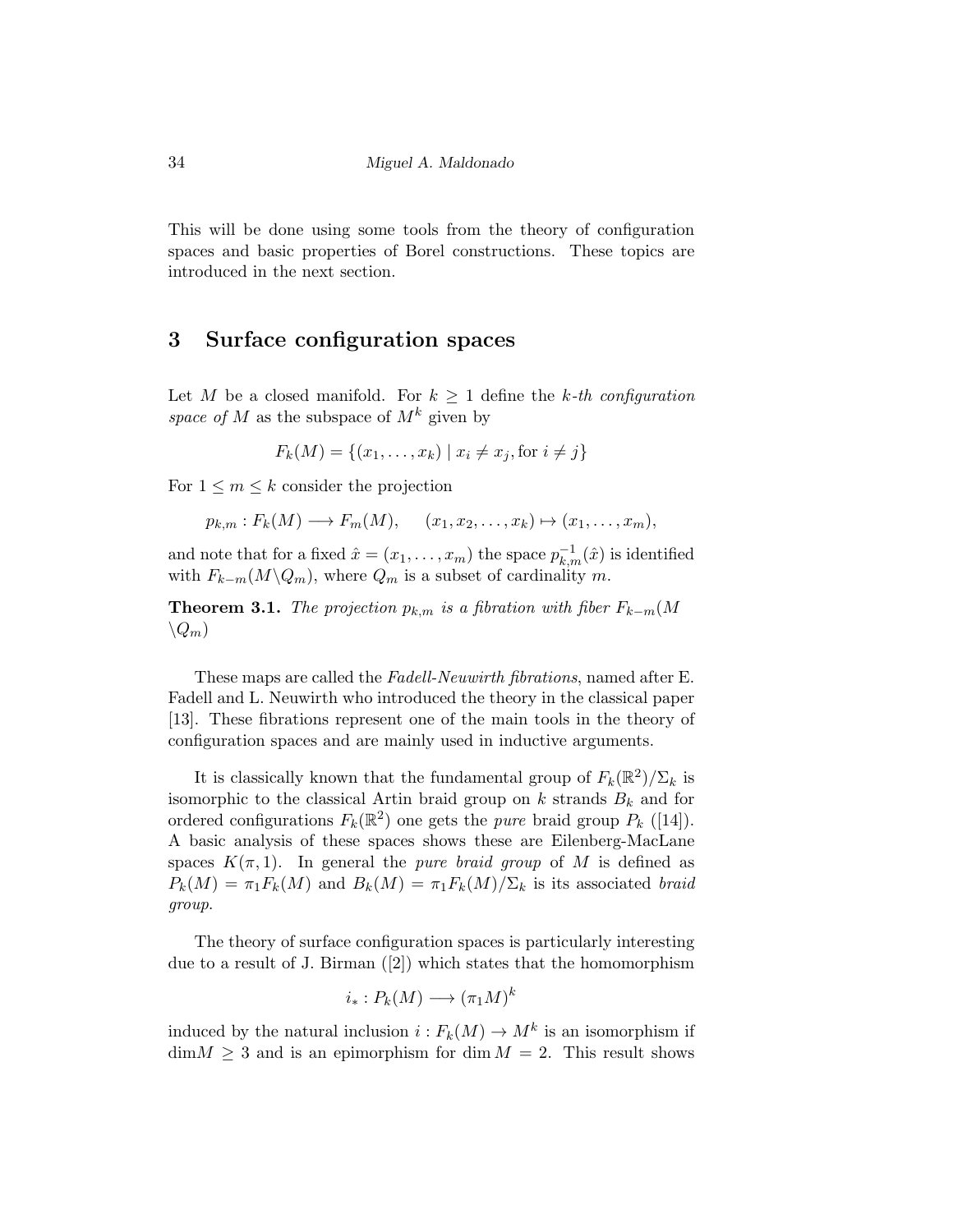This will be done using some tools from the theory of configuration spaces and basic properties of Borel constructions. These topics are introduced in the next section.

#### 3 Surface configuration spaces

Let M be a closed manifold. For  $k \geq 1$  define the k-th configuration space of M as the subspace of  $M^k$  given by

$$
F_k(M) = \{(x_1, \ldots, x_k) \mid x_i \neq x_j, \text{for } i \neq j\}
$$

For  $1 \leq m \leq k$  consider the projection

$$
p_{k,m}: F_k(M) \longrightarrow F_m(M), \quad (x_1, x_2, \dots, x_k) \mapsto (x_1, \dots, x_m),
$$

and note that for a fixed  $\hat{x} = (x_1, \ldots, x_m)$  the space  $p_{k,m}^{-1}(\hat{x})$  is identified with  $F_{k-m}(M\backslash Q_m)$ , where  $Q_m$  is a subset of cardinality m.

**Theorem 3.1.** The projection  $p_{k,m}$  is a fibration with fiber  $F_{k-m}(M)$  $\setminus Q_m$ 

These maps are called the Fadell-Neuwirth fibrations, named after E. Fadell and L. Neuwirth who introduced the theory in the classical paper [13]. These fibrations represent one of the main tools in the theory of configuration spaces and are mainly used in inductive arguments.

It is classically known that the fundamental group of  $F_k(\mathbb{R}^2)/\Sigma_k$  is isomorphic to the classical Artin braid group on  $k$  strands  $B_k$  and for ordered configurations  $F_k(\mathbb{R}^2)$  one gets the *pure* braid group  $P_k$  ([14]). A basic analysis of these spaces shows these are Eilenberg-MacLane spaces  $K(\pi,1)$ . In general the *pure braid group* of M is defined as  $P_k(M) = \pi_1 F_k(M)$  and  $B_k(M) = \pi_1 F_k(M) / \Sigma_k$  is its associated braid group.

The theory of surface configuration spaces is particularly interesting due to a result of J. Birman ([2]) which states that the homomorphism

$$
i_*: P_k(M) \longrightarrow (\pi_1 M)^k
$$

induced by the natural inclusion  $i : F_k(M) \to M^k$  is an isomorphism if  $\dim M \geq 3$  and is an epimorphism for  $\dim M = 2$ . This result shows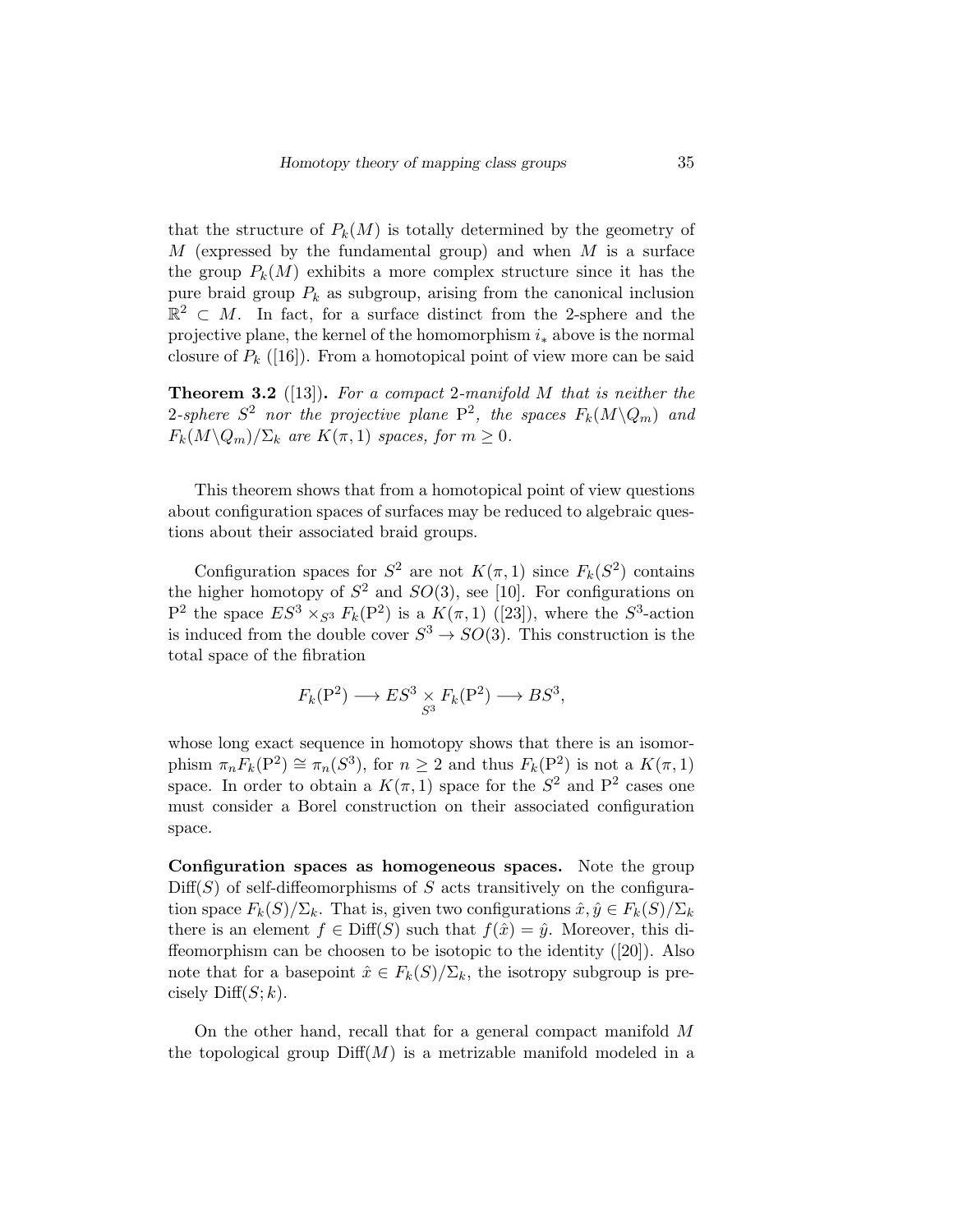that the structure of  $P_k(M)$  is totally determined by the geometry of  $M$  (expressed by the fundamental group) and when  $M$  is a surface the group  $P_k(M)$  exhibits a more complex structure since it has the pure braid group  $P_k$  as subgroup, arising from the canonical inclusion  $\mathbb{R}^2 \subset M$ . In fact, for a surface distinct from the 2-sphere and the projective plane, the kernel of the homomorphism  $i_*$  above is the normal closure of  $P_k$  ([16]). From a homotopical point of view more can be said

**Theorem 3.2** ([13]). For a compact 2-manifold  $M$  that is neither the 2-sphere  $S^2$  nor the projective plane  $P^2$ , the spaces  $F_k(M\backslash Q_m)$  and  $F_k(M\backslash Q_m)/\Sigma_k$  are  $K(\pi,1)$  spaces, for  $m\geq 0$ .

This theorem shows that from a homotopical point of view questions about configuration spaces of surfaces may be reduced to algebraic questions about their associated braid groups.

Configuration spaces for  $S^2$  are not  $K(\pi, 1)$  since  $F_k(S^2)$  contains the higher homotopy of  $S^2$  and  $SO(3)$ , see [10]. For configurations on P<sup>2</sup> the space  $ES^3 \times_{S^3} F_k(P^2)$  is a  $K(\pi,1)$  ([23]), where the  $S^3$ -action is induced from the double cover  $S^3 \to SO(3)$ . This construction is the total space of the fibration

$$
F_k(\mathbf{P}^2) \longrightarrow ES^3 \underset{S^3}{\times} F_k(\mathbf{P}^2) \longrightarrow BS^3,
$$

whose long exact sequence in homotopy shows that there is an isomorphism  $\pi_n F_k(P^2) \cong \pi_n(S^3)$ , for  $n \geq 2$  and thus  $F_k(P^2)$  is not a  $K(\pi, 1)$ space. In order to obtain a  $K(\pi,1)$  space for the  $S^2$  and  $P^2$  cases one must consider a Borel construction on their associated configuration space.

Configuration spaces as homogeneous spaces. Note the group  $Diff(S)$  of self-diffeomorphisms of S acts transitively on the configuration space  $F_k(S)/\Sigma_k$ . That is, given two configurations  $\hat{x}, \hat{y} \in F_k(S)/\Sigma_k$ there is an element  $f \in \text{Diff}(S)$  such that  $f(\hat{x}) = \hat{y}$ . Moreover, this diffeomorphism can be choosen to be isotopic to the identity ([20]). Also note that for a basepoint  $\hat{x} \in F_k(S)/\Sigma_k$ , the isotropy subgroup is precisely  $\text{Diff}(S; k)$ .

On the other hand, recall that for a general compact manifold M the topological group  $\text{Diff}(M)$  is a metrizable manifold modeled in a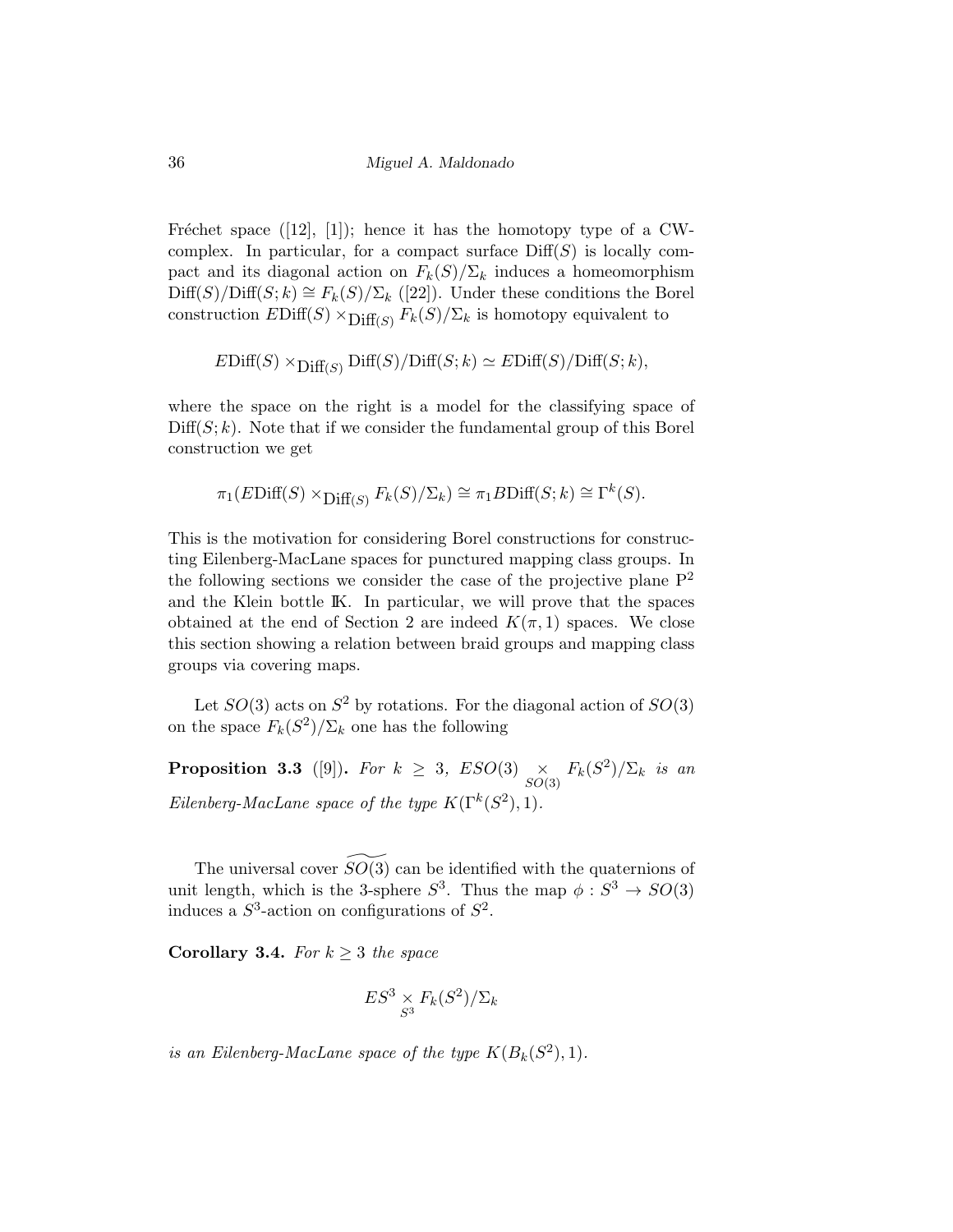Fréchet space  $([12], [1])$ ; hence it has the homotopy type of a CWcomplex. In particular, for a compact surface  $Diff(S)$  is locally compact and its diagonal action on  $F_k(S)/\Sigma_k$  induces a homeomorphism  $\text{Diff}(S)/\text{Diff}(S; k) \cong F_k(S)/\Sigma_k$  ([22]). Under these conditions the Borel construction  $EDiff(S) \times Diff(S) / \Sigma_k$  is homotopy equivalent to

$$
EDiff(S) \times Diff_{(S)} Diff(S)/Diff(S; k) \simeq EDiff(S)/Diff(S; k),
$$

where the space on the right is a model for the classifying space of  $Diff(S; k)$ . Note that if we consider the fundamental group of this Borel construction we get

$$
\pi_1(E\mathrm{Diff}(S) \times_{\mathrm{Diff}(S)} F_k(S)/\Sigma_k) \cong \pi_1 B\mathrm{Diff}(S;k) \cong \Gamma^k(S).
$$

This is the motivation for considering Borel constructions for constructing Eilenberg-MacLane spaces for punctured mapping class groups. In the following sections we consider the case of the projective plane  $P^2$ and the Klein bottle IK. In particular, we will prove that the spaces obtained at the end of Section 2 are indeed  $K(\pi, 1)$  spaces. We close this section showing a relation between braid groups and mapping class groups via covering maps.

Let  $SO(3)$  acts on  $S^2$  by rotations. For the diagonal action of  $SO(3)$ on the space  $F_k(S^2)/\Sigma_k$  one has the following

**Proposition 3.3** ([9]). For  $k \geq 3$ ,  $ESO(3) \times$  $\frac{\times}{SO(3)}$   $F_k(S^2)/\Sigma_k$  is an Eilenberg-MacLane space of the type  $K(\Gamma^k(S^2), 1)$ .

The universal cover  $SO(3)$  can be identified with the quaternions of unit length, which is the 3-sphere  $S^3$ . Thus the map  $\phi : S^3 \to SO(3)$ induces a  $S^3$ -action on configurations of  $S^2$ .

Corollary 3.4. For  $k \geq 3$  the space

$$
ES^3 \underset{S^3}{\times} F_k(S^2) / \Sigma_k
$$

is an Eilenberg-MacLane space of the type  $K(B_k(S^2), 1)$ .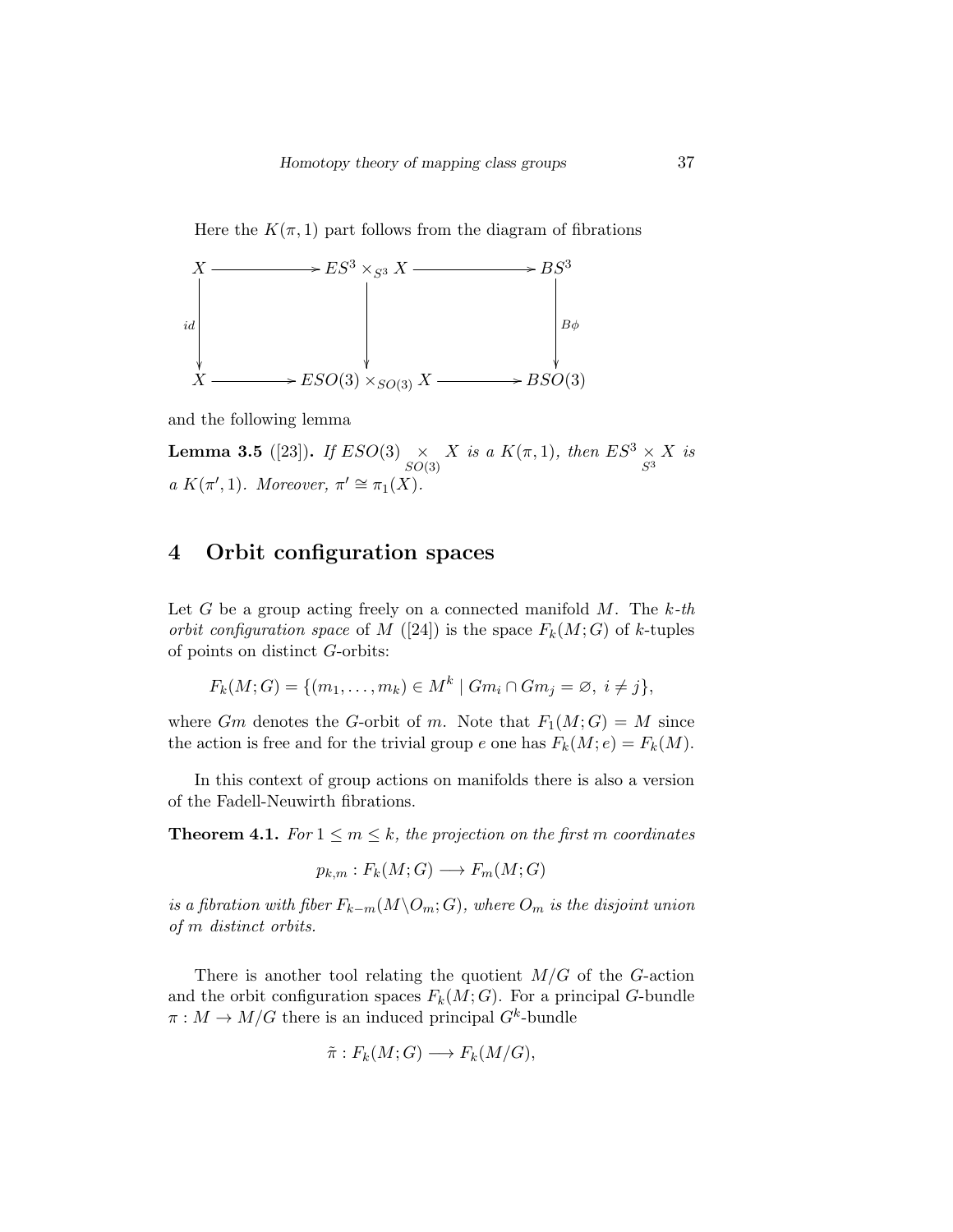Here the  $K(\pi, 1)$  part follows from the diagram of fibrations



and the following lemma

**Lemma 3.5** ([23]). If  $ESO(3) \times$  $SO(3)$ X is a  $K(\pi,1)$ , then  $ES^3 \times$  $S^3$ X is a  $K(\pi', 1)$ . Moreover,  $\pi' \cong \pi_1(X)$ .

## 4 Orbit configuration spaces

Let G be a group acting freely on a connected manifold  $M$ . The  $k$ -th orbit configuration space of M ([24]) is the space  $F_k(M; G)$  of k-tuples of points on distinct G-orbits:

$$
F_k(M;G) = \{(m_1,\ldots,m_k) \in M^k \mid Gm_i \cap Gm_j = \emptyset, i \neq j\},\
$$

where Gm denotes the G-orbit of m. Note that  $F_1(M; G) = M$  since the action is free and for the trivial group e one has  $F_k(M; e) = F_k(M)$ .

In this context of group actions on manifolds there is also a version of the Fadell-Neuwirth fibrations.

**Theorem 4.1.** For  $1 \le m \le k$ , the projection on the first m coordinates

$$
p_{k,m}: F_k(M; G) \longrightarrow F_m(M; G)
$$

is a fibration with fiber  $F_{k-m}(M\backslash O_m;G)$ , where  $O_m$  is the disjoint union of m distinct orbits.

There is another tool relating the quotient  $M/G$  of the G-action and the orbit configuration spaces  $F_k(M; G)$ . For a principal G-bundle  $\pi : M \to M/G$  there is an induced principal  $G^k$ -bundle

$$
\tilde{\pi}: F_k(M; G) \longrightarrow F_k(M/G),
$$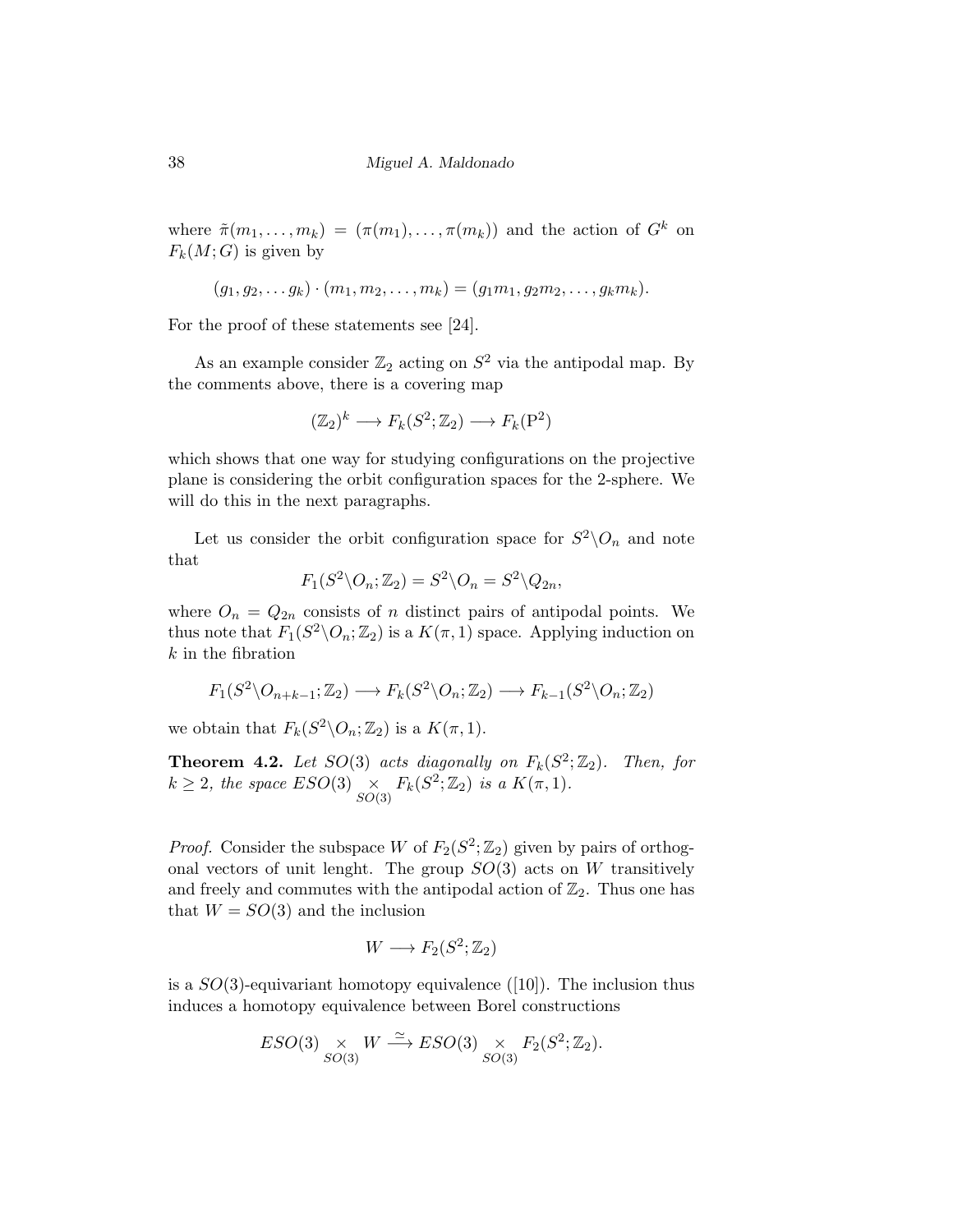where  $\tilde{\pi}(m_1,\ldots,m_k) = (\pi(m_1),\ldots,\pi(m_k))$  and the action of  $G^k$  on  $F_k(M;G)$  is given by

$$
(g_1, g_2, \ldots g_k) \cdot (m_1, m_2, \ldots, m_k) = (g_1 m_1, g_2 m_2, \ldots, g_k m_k).
$$

For the proof of these statements see [24].

As an example consider  $\mathbb{Z}_2$  acting on  $S^2$  via the antipodal map. By the comments above, there is a covering map

$$
(\mathbb{Z}_2)^k \longrightarrow F_k(S^2; \mathbb{Z}_2) \longrightarrow F_k(\mathbf{P}^2)
$$

which shows that one way for studying configurations on the projective plane is considering the orbit configuration spaces for the 2-sphere. We will do this in the next paragraphs.

Let us consider the orbit configuration space for  $S^2 \backslash O_n$  and note that

$$
F_1(S^2 \backslash O_n; \mathbb{Z}_2) = S^2 \backslash O_n = S^2 \backslash Q_{2n},
$$

where  $O_n = Q_{2n}$  consists of n distinct pairs of antipodal points. We thus note that  $F_1(S^2 \backslash O_n; \mathbb{Z}_2)$  is a  $K(\pi, 1)$  space. Applying induction on  $k$  in the fibration

$$
F_1(S^2 \setminus O_{n+k-1}; \mathbb{Z}_2) \longrightarrow F_k(S^2 \setminus O_n; \mathbb{Z}_2) \longrightarrow F_{k-1}(S^2 \setminus O_n; \mathbb{Z}_2)
$$

we obtain that  $F_k(S^2 \backslash O_n; \mathbb{Z}_2)$  is a  $K(\pi, 1)$ .

**Theorem 4.2.** Let  $SO(3)$  acts diagonally on  $F_k(S^2; \mathbb{Z}_2)$ . Then, for  $k \geq 2$ , the space  $ESO(3) \propto$  $\underset{SO(3)}{\times} F_k(S^2; \mathbb{Z}_2)$  is a  $K(\pi, 1)$ .

*Proof.* Consider the subspace W of  $F_2(S^2; \mathbb{Z}_2)$  given by pairs of orthogonal vectors of unit lenght. The group  $SO(3)$  acts on W transitively and freely and commutes with the antipodal action of  $\mathbb{Z}_2$ . Thus one has that  $W = SO(3)$  and the inclusion

$$
W\longrightarrow F_2(S^2;\mathbb{Z}_2)
$$

is a  $SO(3)$ -equivariant homotopy equivalence ([10]). The inclusion thus induces a homotopy equivalence between Borel constructions

$$
ESO(3) \underset{SO(3)}{\times} W \xrightarrow{\simeq} ESO(3) \underset{SO(3)}{\times} F_2(S^2; \mathbb{Z}_2).
$$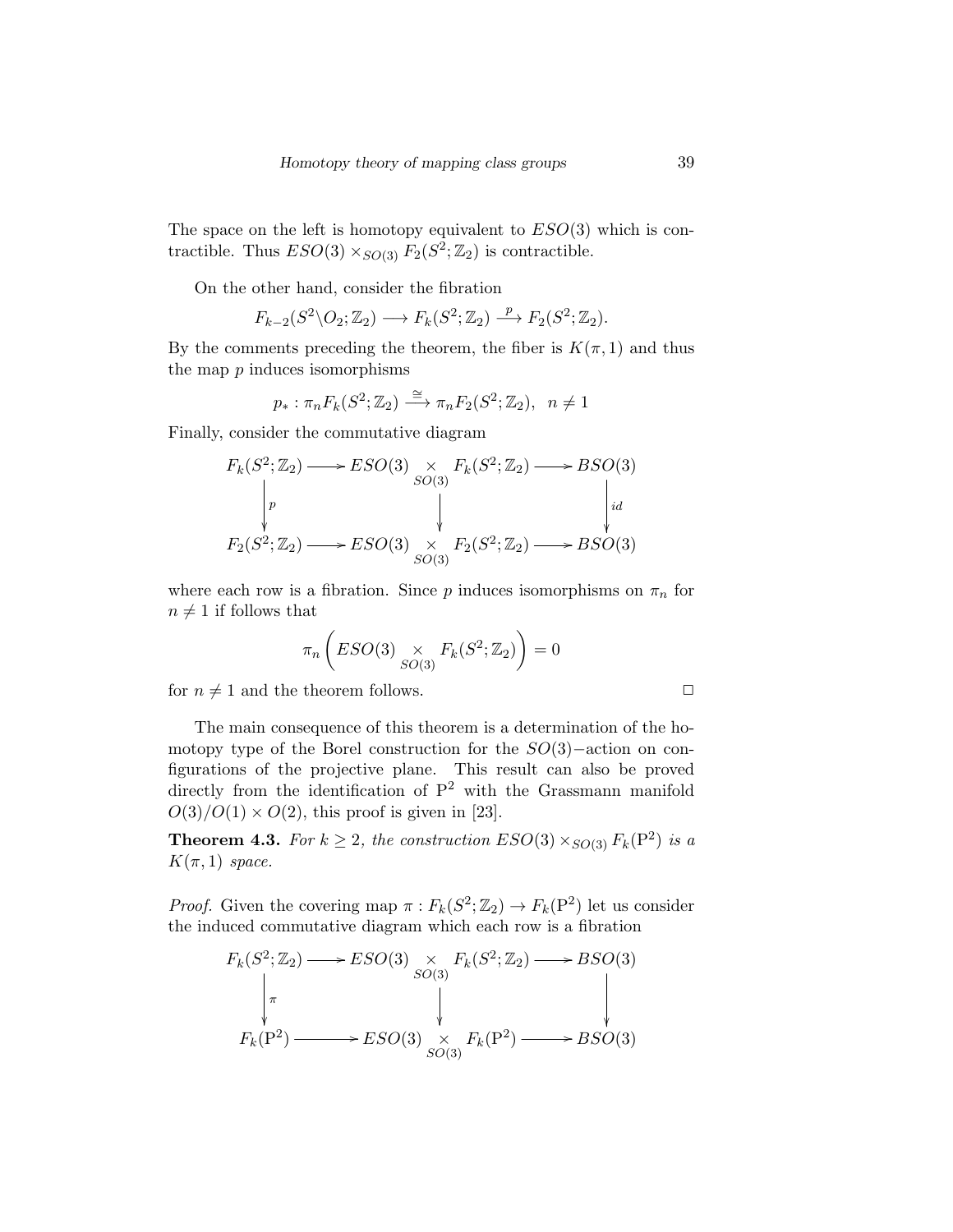The space on the left is homotopy equivalent to  $ESO(3)$  which is contractible. Thus  $ESO(3) \times_{SO(3)} F_2(S^2; \mathbb{Z}_2)$  is contractible.

On the other hand, consider the fibration

$$
F_{k-2}(S^2 \backslash O_2; \mathbb{Z}_2) \longrightarrow F_k(S^2; \mathbb{Z}_2) \stackrel{p}{\longrightarrow} F_2(S^2; \mathbb{Z}_2).
$$

By the comments preceding the theorem, the fiber is  $K(\pi, 1)$  and thus the map  $p$  induces isomorphisms

$$
p_* : \pi_n F_k(S^2; \mathbb{Z}_2) \xrightarrow{\cong} \pi_n F_2(S^2; \mathbb{Z}_2), \quad n \neq 1
$$

Finally, consider the commutative diagram

$$
F_k(S^2; \mathbb{Z}_2) \longrightarrow ESO(3) \underset{SO(3)}{\times} F_k(S^2; \mathbb{Z}_2) \longrightarrow BSO(3)
$$
\n
$$
\downarrow \qquad \qquad \downarrow \qquad \qquad \downarrow
$$
\n
$$
F_2(S^2; \mathbb{Z}_2) \longrightarrow ESO(3) \underset{SO(3)}{\times} F_2(S^2; \mathbb{Z}_2) \longrightarrow BSO(3)
$$

where each row is a fibration. Since  $p$  induces isomorphisms on  $\pi_n$  for  $n \neq 1$  if follows that

$$
\pi_n\left(ESO(3)\underset{SO(3)}{\times}F_k(S^2;\mathbb{Z}_2)\right)=0
$$

for  $n \neq 1$  and the theorem follows.  $\Box$ 

The main consequence of this theorem is a determination of the homotopy type of the Borel construction for the SO(3)−action on configurations of the projective plane. This result can also be proved directly from the identification of  $P^2$  with the Grassmann manifold  $O(3)/O(1) \times O(2)$ , this proof is given in [23].

**Theorem 4.3.** For  $k \geq 2$ , the construction  $ESO(3) \times_{SO(3)} F_k(P^2)$  is a  $K(\pi,1)$  space.

*Proof.* Given the covering map  $\pi : F_k(S^2; \mathbb{Z}_2) \to F_k(\mathbb{P}^2)$  let us consider the induced commutative diagram which each row is a fibration

$$
F_k(S^2; \mathbb{Z}_2) \longrightarrow ESO(3) \underset{SO(3)}{\times} F_k(S^2; \mathbb{Z}_2) \longrightarrow BSO(3)
$$
  
\n
$$
\downarrow \qquad \qquad \downarrow \qquad \qquad \downarrow \qquad \qquad \downarrow
$$
  
\n
$$
F_k(\mathbf{P}^2) \longrightarrow ESO(3) \underset{SO(3)}{\times} F_k(\mathbf{P}^2) \longrightarrow BSO(3)
$$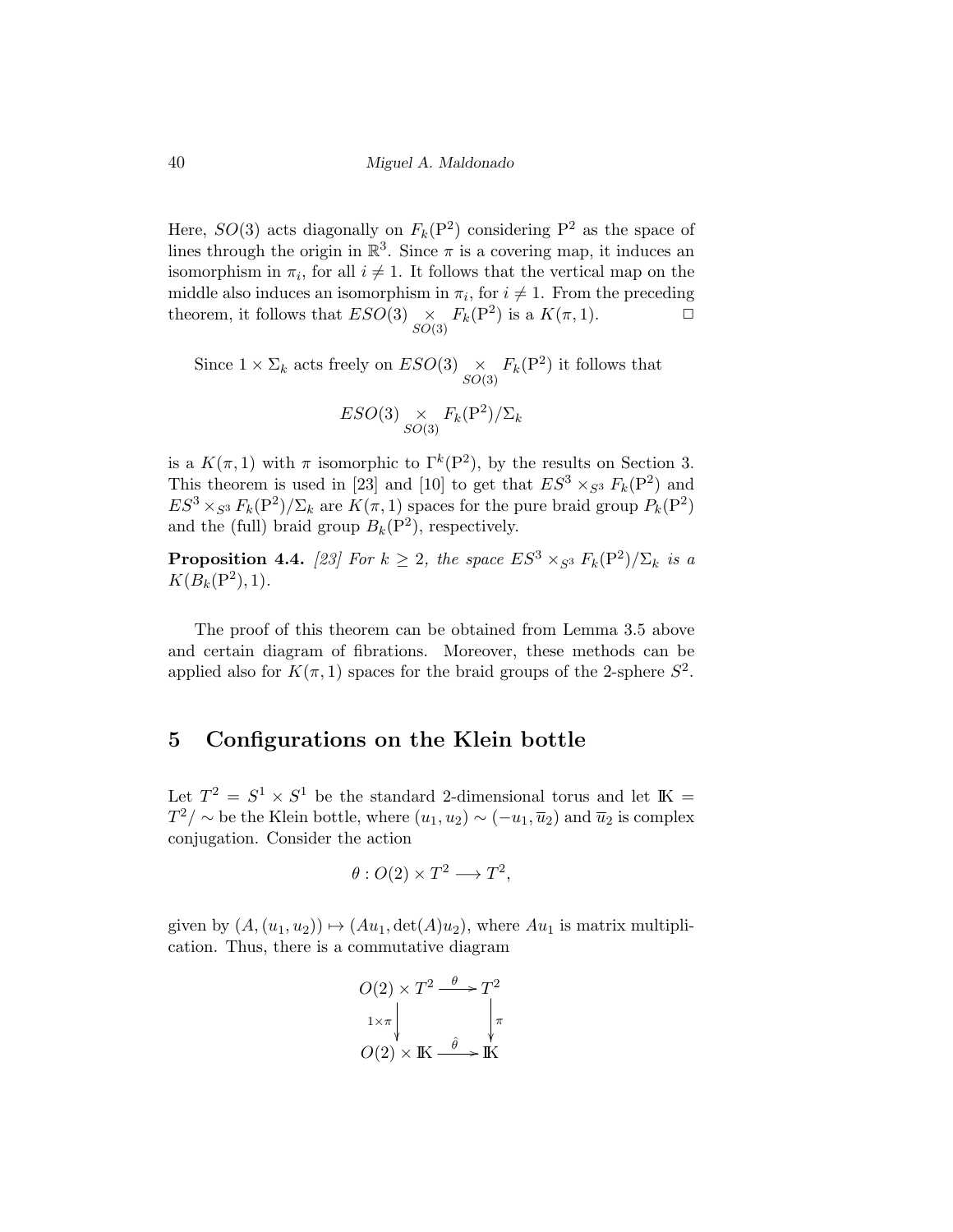Here,  $SO(3)$  acts diagonally on  $F_k(P^2)$  considering  $P^2$  as the space of lines through the origin in  $\mathbb{R}^3$ . Since  $\pi$  is a covering map, it induces an isomorphism in  $\pi_i$ , for all  $i \neq 1$ . It follows that the vertical map on the middle also induces an isomorphism in  $\pi_i$ , for  $i \neq 1$ . From the preceding theorem, it follows that  $ESO(3) \times$  $\underset{SO(3)}{\times} F_k(\mathbf{P}^2)$  is a  $K(\pi, 1)$ .  $\Box$ 

Since  $1 \times \Sigma_k$  acts freely on  $ESO(3) \underset{SO(3)}{\times} F_k(\mathbf{P}^2)$  it follows that

$$
ESO(3) \underset{SO(3)}{\times} F_k(\mathbf{P}^2) / \Sigma_k
$$

is a  $K(\pi,1)$  with  $\pi$  isomorphic to  $\Gamma^k(\mathbb{P}^2)$ , by the results on Section 3. This theorem is used in [23] and [10] to get that  $ES^3 \times_{S^3} F_k(P^2)$  and  $ES^3 \times_{S^3} F_k(P^2)/\Sigma_k$  are  $K(\pi, 1)$  spaces for the pure braid group  $P_k(P^2)$ and the (full) braid group  $B_k(P^2)$ , respectively.

**Proposition 4.4.** [23] For  $k \geq 2$ , the space  $ES^3 \times_{S^3} F_k(P^2)/\Sigma_k$  is a  $K(B_k(P^2), 1).$ 

The proof of this theorem can be obtained from Lemma 3.5 above and certain diagram of fibrations. Moreover, these methods can be applied also for  $K(\pi, 1)$  spaces for the braid groups of the 2-sphere  $S^2$ .

### 5 Configurations on the Klein bottle

Let  $T^2 = S^1 \times S^1$  be the standard 2-dimensional torus and let  $\mathbb{K} =$  $T^2/\sim$  be the Klein bottle, where  $(u_1, u_2) \sim (-u_1, \overline{u}_2)$  and  $\overline{u}_2$  is complex conjugation. Consider the action

$$
\theta: O(2) \times T^2 \longrightarrow T^2,
$$

given by  $(A, (u_1, u_2)) \mapsto (Au_1, \det(A)u_2)$ , where  $Au_1$  is matrix multiplication. Thus, there is a commutative diagram

$$
O(2) \times T^2 \xrightarrow{\theta} T^2
$$
  

$$
1 \times \pi \downarrow \qquad \qquad \downarrow \pi
$$
  

$$
O(2) \times \text{IK} \xrightarrow{\hat{\theta}} \text{IK}
$$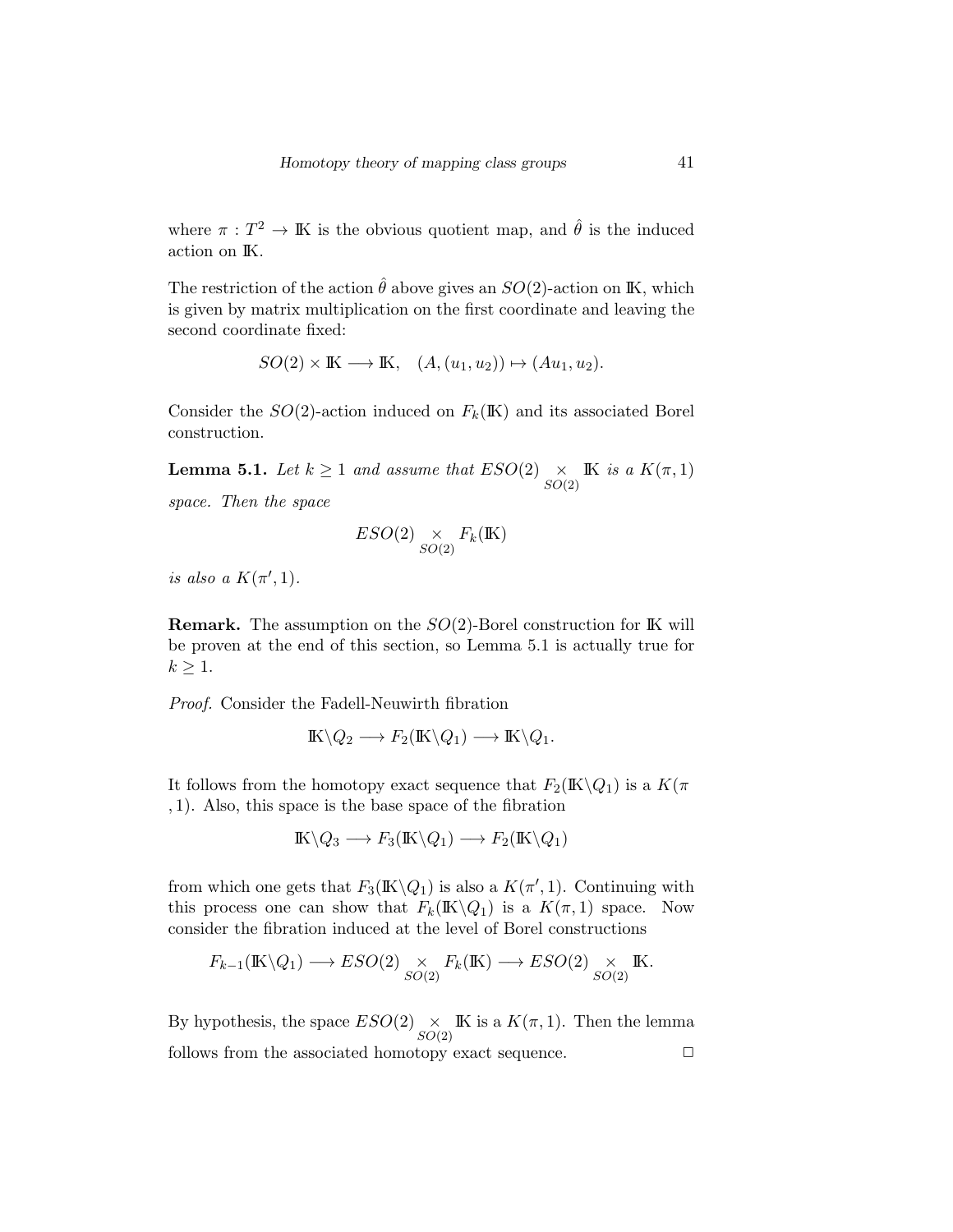where  $\pi: T^2 \to \mathbb{K}$  is the obvious quotient map, and  $\hat{\theta}$  is the induced action on IK.

The restriction of the action  $\hat{\theta}$  above gives an  $SO(2)$ -action on IK, which is given by matrix multiplication on the first coordinate and leaving the second coordinate fixed:

$$
SO(2) \times \mathbb{K} \longrightarrow \mathbb{K}, \quad (A,(u_1,u_2)) \mapsto (Au_1,u_2).
$$

Consider the  $SO(2)$ -action induced on  $F_k(\mathbb{K})$  and its associated Borel construction.

**Lemma 5.1.** Let  $k \geq 1$  and assume that  $ESO(2) \times$  $SO(2)$ IK is a  $K(\pi,1)$ 

space. Then the space

$$
ESO(2) \underset{SO(2)}{\times} F_k(\mathbb{K})
$$

is also a  $K(\pi', 1)$ .

**Remark.** The assumption on the  $SO(2)$ -Borel construction for IK will be proven at the end of this section, so Lemma 5.1 is actually true for  $k \geq 1$ .

Proof. Consider the Fadell-Neuwirth fibration

$$
I\!K\backslash Q_2 \longrightarrow F_2(I\!K\backslash Q_1) \longrightarrow I\!K\backslash Q_1.
$$

It follows from the homotopy exact sequence that  $F_2(\mathbb{K}\backslash Q_1)$  is a  $K(\pi)$ , 1). Also, this space is the base space of the fibration

$$
I\!K \setminus Q_3 \longrightarrow F_3(I\!K \setminus Q_1) \longrightarrow F_2(I\!K \setminus Q_1)
$$

from which one gets that  $F_3(\mathbb{K}\backslash Q_1)$  is also a  $K(\pi', 1)$ . Continuing with this process one can show that  $F_k(\mathbb{K}\backslash Q_1)$  is a  $K(\pi,1)$  space. Now consider the fibration induced at the level of Borel constructions

$$
F_{k-1}(\mathbb{K}\backslash Q_1) \longrightarrow ESO(2) \underset{SO(2)}{\times} F_k(\mathbb{K}) \longrightarrow ESO(2) \underset{SO(2)}{\times} \mathbb{K}.
$$

By hypothesis, the space  $ESO(2) \times$  $SO(2)$ IK is a  $K(\pi,1)$ . Then the lemma follows from the associated homotopy exact sequence.  $\Box$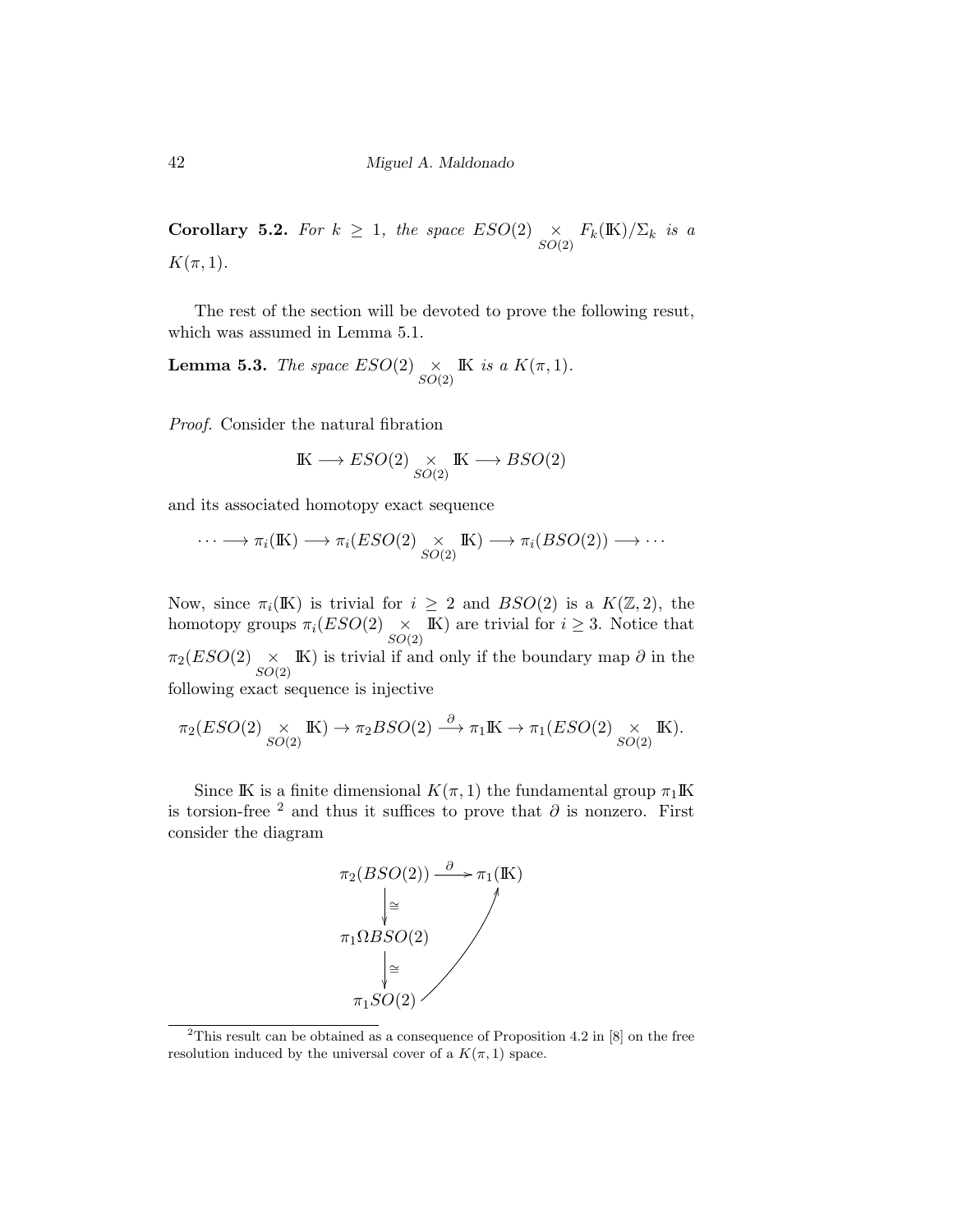**Corollary 5.2.** For  $k \geq 1$ , the space  $ESO(2) \times$  $\underset{SO(2)}{\times} F_k(\mathbb{K})/\Sigma_k$  is a  $K(\pi,1)$ .

The rest of the section will be devoted to prove the following resut, which was assumed in Lemma 5.1.

**Lemma 5.3.** The space  $ESO(2) \times$  $SO(2)$ IK is a  $K(\pi,1)$ .

Proof. Consider the natural fibration

$$
\mathbb{K} \longrightarrow ESO(2) \underset{SO(2)}{\times} \mathbb{K} \longrightarrow BSO(2)
$$

and its associated homotopy exact sequence

$$
\cdots \longrightarrow \pi_i(\mathbb{K}) \longrightarrow \pi_i(ESO(2) \underset{SO(2)}{\times} \mathbb{K}) \longrightarrow \pi_i(BSO(2)) \longrightarrow \cdots
$$

Now, since  $\pi_i(K)$  is trivial for  $i \geq 2$  and  $BSO(2)$  is a  $K(\mathbb{Z}, 2)$ , the homotopy groups  $\pi_i(ESO(2) \times SO(2))$ IK) are trivial for  $i \geq 3$ . Notice that  $\pi_2(ESO(2)\mathop{\times}\limits_{SO(2)}$ **IK)** is trivial if and only if the boundary map  $\partial$  in the following exact sequence is injective

$$
\pi_2(ESO(2) \underset{SO(2)}{\times} \mathbb{K}) \to \pi_2BSO(2) \xrightarrow{\partial} \pi_1\mathbb{K} \to \pi_1(ESO(2) \underset{SO(2)}{\times} \mathbb{K}).
$$

Since IK is a finite dimensional  $K(\pi, 1)$  the fundamental group  $\pi_1\mathbb{K}$ is torsion-free <sup>2</sup> and thus it suffices to prove that  $\partial$  is nonzero. First consider the diagram



<sup>&</sup>lt;sup>2</sup>This result can be obtained as a consequence of Proposition 4.2 in  $[8]$  on the free resolution induced by the universal cover of a  $K(\pi, 1)$  space.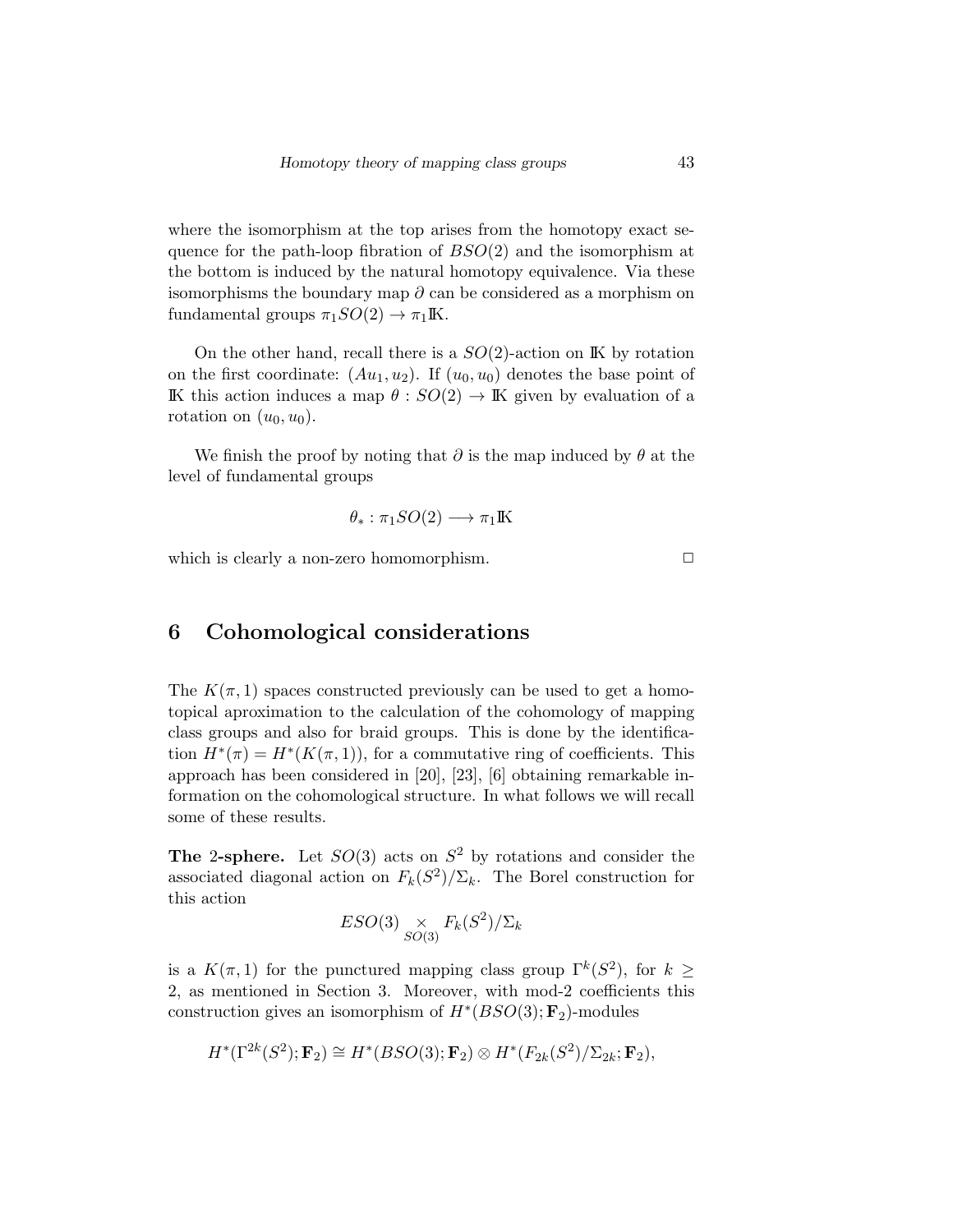where the isomorphism at the top arises from the homotopy exact sequence for the path-loop fibration of  $BSO(2)$  and the isomorphism at the bottom is induced by the natural homotopy equivalence. Via these isomorphisms the boundary map  $\partial$  can be considered as a morphism on fundamental groups  $\pi_1SO(2) \to \pi_1\mathbb{K}$ .

On the other hand, recall there is a  $SO(2)$ -action on IK by rotation on the first coordinate:  $(Au_1, u_2)$ . If  $(u_0, u_0)$  denotes the base point of IK this action induces a map  $\theta$ :  $SO(2) \rightarrow \mathbb{K}$  given by evaluation of a rotation on  $(u_0, u_0)$ .

We finish the proof by noting that  $\partial$  is the map induced by  $\theta$  at the level of fundamental groups

$$
\theta_* : \pi_1SO(2) \longrightarrow \pi_1\mathbb{K}
$$

which is clearly a non-zero homomorphism.  $\Box$ 

#### 6 Cohomological considerations

The  $K(\pi, 1)$  spaces constructed previously can be used to get a homotopical aproximation to the calculation of the cohomology of mapping class groups and also for braid groups. This is done by the identification  $H^*(\pi) = H^*(K(\pi, 1))$ , for a commutative ring of coefficients. This approach has been considered in [20], [23], [6] obtaining remarkable information on the cohomological structure. In what follows we will recall some of these results.

**The 2-sphere.** Let  $SO(3)$  acts on  $S^2$  by rotations and consider the associated diagonal action on  $F_k(S^2)/\Sigma_k$ . The Borel construction for this action

$$
ESO(3) \underset{SO(3)}{\times} F_k(S^2)/\Sigma_k
$$

is a  $K(\pi,1)$  for the punctured mapping class group  $\Gamma^k(S^2)$ , for  $k \geq$ 2, as mentioned in Section 3. Moreover, with mod-2 coefficients this construction gives an isomorphism of  $H^*(BSO(3); \mathbf{F}_2)$ -modules

$$
H^*(\Gamma^{2k}(S^2); \mathbf{F}_2) \cong H^*(BSO(3); \mathbf{F}_2) \otimes H^*(F_{2k}(S^2)/\Sigma_{2k}; \mathbf{F}_2),
$$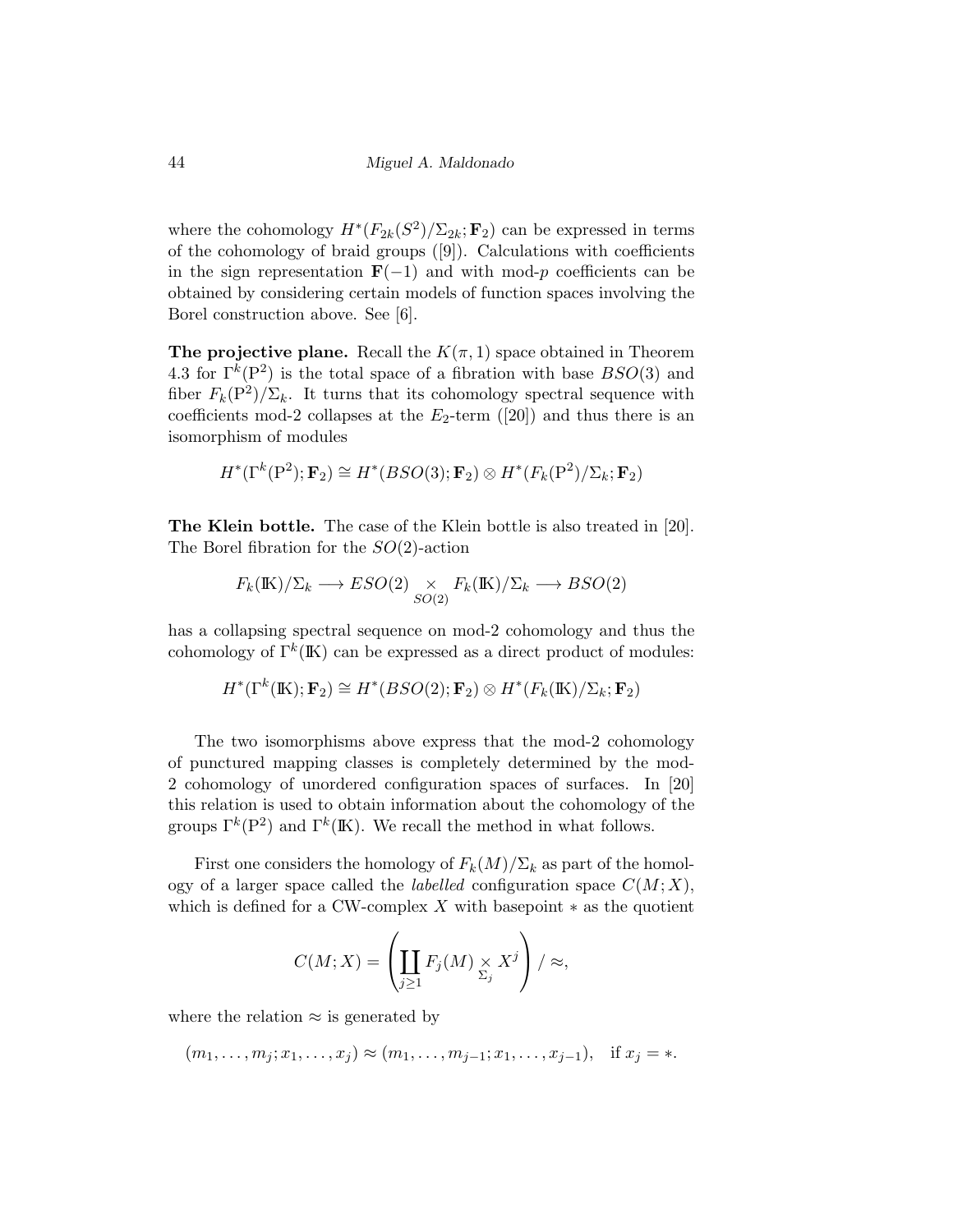where the cohomology  $H^*(F_{2k}(S^2)/\Sigma_{2k};\mathbf{F}_2)$  can be expressed in terms of the cohomology of braid groups ([9]). Calculations with coefficients in the sign representation  $\mathbf{F}(-1)$  and with mod-p coefficients can be obtained by considering certain models of function spaces involving the Borel construction above. See [6].

The projective plane. Recall the  $K(\pi, 1)$  space obtained in Theorem 4.3 for  $\Gamma^k(P^2)$  is the total space of a fibration with base  $BSO(3)$  and fiber  $F_k(\mathbf{P}^2)/\Sigma_k$ . It turns that its cohomology spectral sequence with coefficients mod-2 collapses at the  $E_2$ -term ([20]) and thus there is an isomorphism of modules

$$
H^*(\Gamma^k(\mathbf{P}^2); \mathbf{F}_2) \cong H^*(BSO(3); \mathbf{F}_2) \otimes H^*(F_k(\mathbf{P}^2)/\Sigma_k; \mathbf{F}_2)
$$

The Klein bottle. The case of the Klein bottle is also treated in [20]. The Borel fibration for the  $SO(2)$ -action

$$
F_k(\mathbb{K})/\Sigma_k \longrightarrow ESO(2) \underset{SO(2)}{\times} F_k(\mathbb{K})/\Sigma_k \longrightarrow BSO(2)
$$

has a collapsing spectral sequence on mod-2 cohomology and thus the cohomology of  $\Gamma^k(\mathbb{K})$  can be expressed as a direct product of modules:

$$
H^*(\Gamma^k(\mathbb{K});\mathbf{F}_2) \cong H^*(BSO(2);\mathbf{F}_2) \otimes H^*(F_k(\mathbb{K})/\Sigma_k;\mathbf{F}_2)
$$

The two isomorphisms above express that the mod-2 cohomology of punctured mapping classes is completely determined by the mod-2 cohomology of unordered configuration spaces of surfaces. In [20] this relation is used to obtain information about the cohomology of the groups  $\Gamma^k(\mathbb{P}^2)$  and  $\Gamma^k(\mathbb{K})$ . We recall the method in what follows.

First one considers the homology of  $F_k(M)/\Sigma_k$  as part of the homology of a larger space called the *labelled* configuration space  $C(M; X)$ , which is defined for a CW-complex  $X$  with basepoint  $*$  as the quotient

$$
C(M;X) = \left(\coprod_{j\geq 1} F_j(M) \underset{\Sigma_j}{\times} X^j\right) / \approx,
$$

where the relation  $\approx$  is generated by

$$
(m_1, \ldots, m_j; x_1, \ldots, x_j) \approx (m_1, \ldots, m_{j-1}; x_1, \ldots, x_{j-1}),
$$
 if  $x_j = *$ .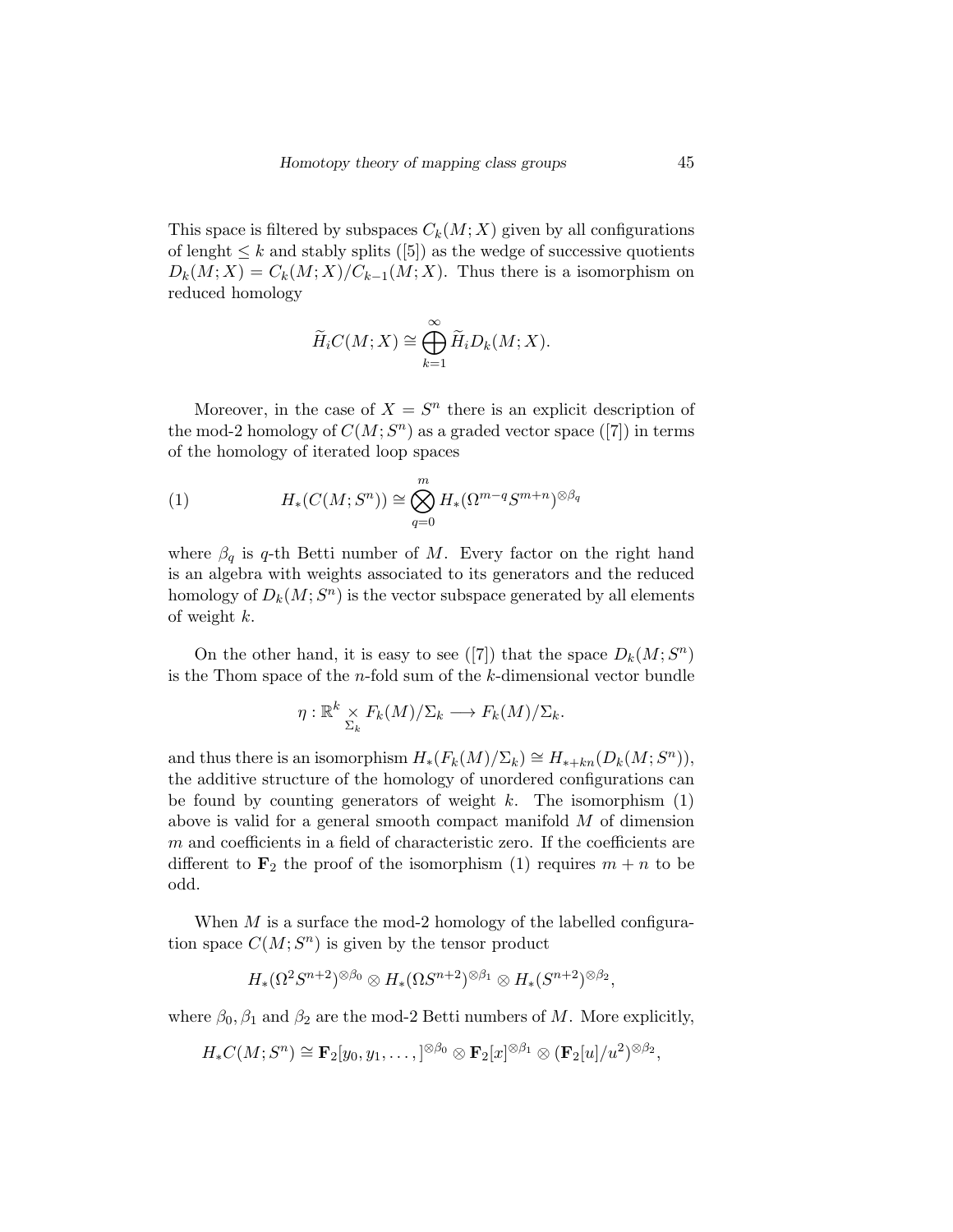This space is filtered by subspaces  $C_k(M; X)$  given by all configurations of lenght  $\leq k$  and stably splits ([5]) as the wedge of successive quotients  $D_k(M; X) = C_k(M; X)/C_{k-1}(M; X)$ . Thus there is a isomorphism on reduced homology

$$
\widetilde{H}_i C(M; X) \cong \bigoplus_{k=1}^{\infty} \widetilde{H}_i D_k(M; X).
$$

Moreover, in the case of  $X = S^n$  there is an explicit description of the mod-2 homology of  $C(M; S<sup>n</sup>)$  as a graded vector space ([7]) in terms of the homology of iterated loop spaces

(1) 
$$
H_*(C(M; S^n)) \cong \bigotimes_{q=0}^m H_*(\Omega^{m-q} S^{m+n})^{\otimes \beta_q}
$$

where  $\beta_q$  is q-th Betti number of M. Every factor on the right hand is an algebra with weights associated to its generators and the reduced homology of  $D_k(M; S^n)$  is the vector subspace generated by all elements of weight k.

On the other hand, it is easy to see ([7]) that the space  $D_k(M; S^n)$ is the Thom space of the  $n$ -fold sum of the  $k$ -dimensional vector bundle

$$
\eta: \mathbb{R}^k \underset{\Sigma_k}{\times} F_k(M)/\Sigma_k \longrightarrow F_k(M)/\Sigma_k.
$$

and thus there is an isomorphism  $H_*(F_k(M)/\Sigma_k) \cong H_{*+kn}(D_k(M; S^n)),$ the additive structure of the homology of unordered configurations can be found by counting generators of weight  $k$ . The isomorphism  $(1)$ above is valid for a general smooth compact manifold M of dimension m and coefficients in a field of characteristic zero. If the coefficients are different to  $\mathbf{F}_2$  the proof of the isomorphism (1) requires  $m + n$  to be odd.

When  $M$  is a surface the mod-2 homology of the labelled configuration space  $C(M; S^n)$  is given by the tensor product

$$
H_*(\Omega^2 S^{n+2})^{\otimes \beta_0} \otimes H_*(\Omega S^{n+2})^{\otimes \beta_1} \otimes H_*(S^{n+2})^{\otimes \beta_2},
$$

where  $\beta_0$ ,  $\beta_1$  and  $\beta_2$  are the mod-2 Betti numbers of M. More explicitly,

$$
H_*C(M; S^n) \cong \mathbf{F}_2[y_0, y_1, \dots, ]^{\otimes \beta_0} \otimes \mathbf{F}_2[x]^{\otimes \beta_1} \otimes (\mathbf{F}_2[u]/u^2)^{\otimes \beta_2},
$$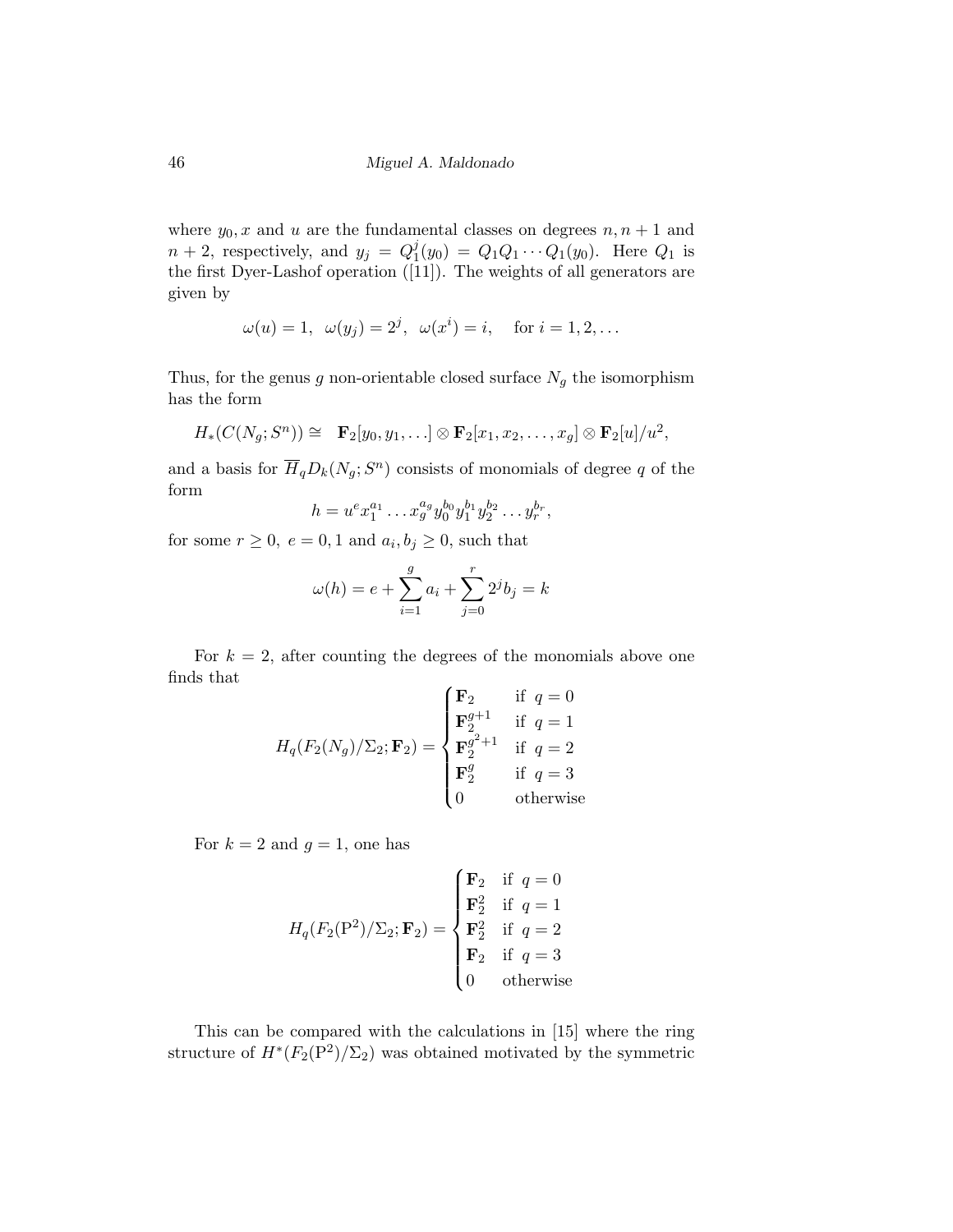where  $y_0$ , x and u are the fundamental classes on degrees  $n, n + 1$  and  $n+2$ , respectively, and  $y_j = Q_1^j$  $Q_1(y_0) = Q_1 Q_1 \cdots Q_1(y_0)$ . Here  $Q_1$  is the first Dyer-Lashof operation ([11]). The weights of all generators are given by

$$
\omega(u) = 1, \ \omega(y_j) = 2^j, \ \omega(x^i) = i, \quad \text{for } i = 1, 2, \dots
$$

Thus, for the genus  $g$  non-orientable closed surface  ${\cal N}_g$  the isomorphism has the form

$$
H_*(C(N_g; S^n)) \cong \mathbf{F}_2[y_0, y_1, \ldots] \otimes \mathbf{F}_2[x_1, x_2, \ldots, x_g] \otimes \mathbf{F}_2[u]/u^2,
$$

and a basis for  $\overline{H}_qD_k(N_g; S^n)$  consists of monomials of degree q of the form

$$
h = u^{e} x_1^{a_1} \dots x_g^{a_g} y_0^{b_0} y_1^{b_1} y_2^{b_2} \dots y_r^{b_r},
$$

for some  $r \geq 0$ ,  $e = 0, 1$  and  $a_i, b_j \geq 0$ , such that

$$
\omega(h) = e + \sum_{i=1}^{g} a_i + \sum_{j=0}^{r} 2^{j} b_j = k
$$

For  $k = 2$ , after counting the degrees of the monomials above one finds that  $\epsilon$ 

$$
H_q(F_2(N_g)/\Sigma_2; \mathbf{F}_2) = \begin{cases} \mathbf{F}_2 & \text{if } q = 0 \\ \mathbf{F}_2^{g+1} & \text{if } q = 1 \\ \mathbf{F}_2^{g^2+1} & \text{if } q = 2 \\ \mathbf{F}_2^g & \text{if } q = 3 \\ 0 & \text{otherwise} \end{cases}
$$

For  $k = 2$  and  $g = 1$ , one has

$$
H_q(F_2(\mathbf{P}^2)/\Sigma_2; \mathbf{F}_2) = \begin{cases} \mathbf{F}_2 & \text{if } q = 0 \\ \mathbf{F}_2^2 & \text{if } q = 1 \\ \mathbf{F}_2^2 & \text{if } q = 2 \\ \mathbf{F}_2 & \text{if } q = 3 \\ 0 & \text{otherwise} \end{cases}
$$

This can be compared with the calculations in [15] where the ring structure of  $H^*(F_2(P^2)/\Sigma_2)$  was obtained motivated by the symmetric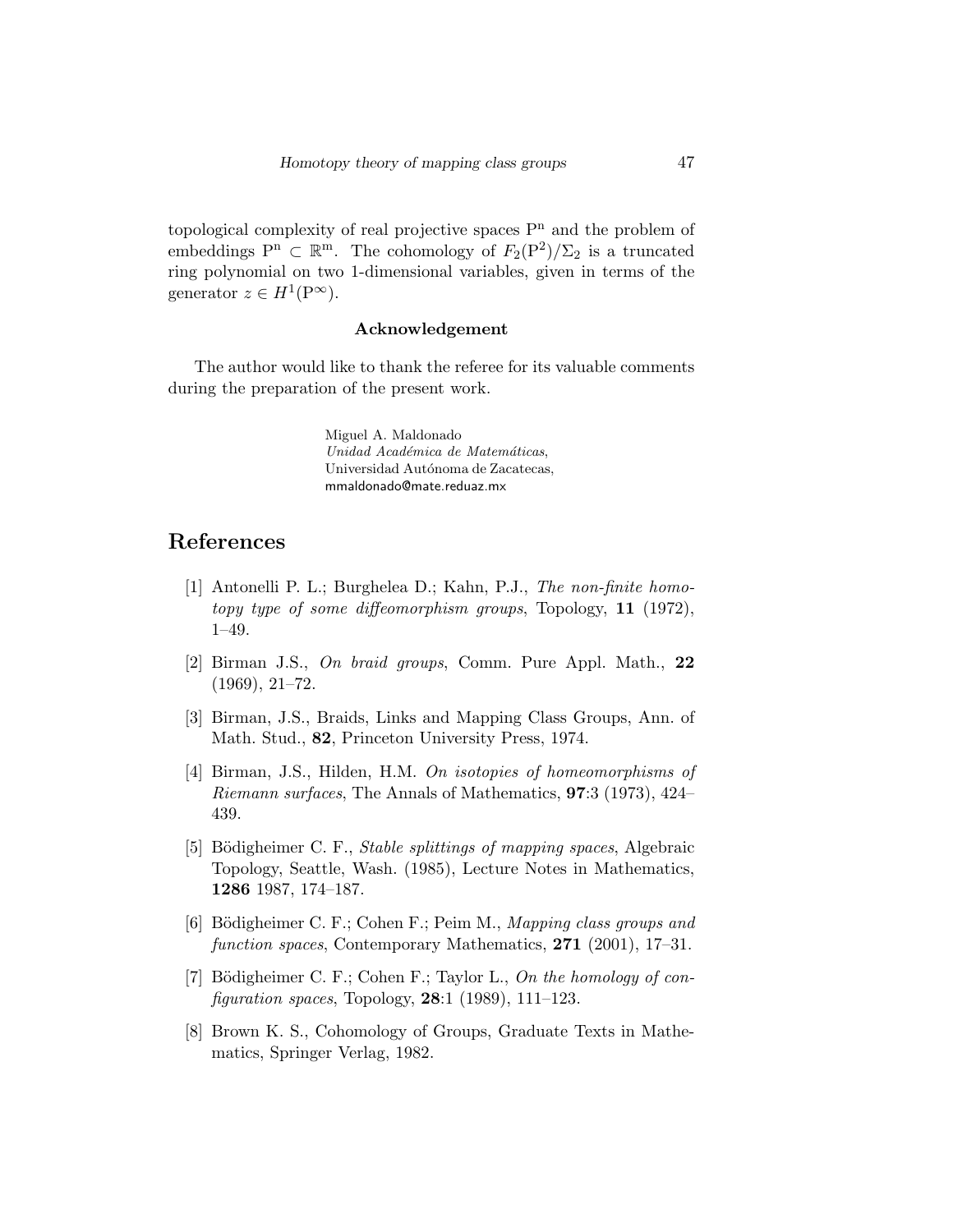topological complexity of real projective spaces  $P<sup>n</sup>$  and the problem of embeddings  $P^n \subset \mathbb{R}^m$ . The cohomology of  $F_2(P^2)/\Sigma_2$  is a truncated ring polynomial on two 1-dimensional variables, given in terms of the generator  $z \in H^1(\mathbb{P}^\infty)$ .

#### Acknowledgement

The author would like to thank the referee for its valuable comments during the preparation of the present work.

> Miguel A. Maldonado Unidad Académica de Matemáticas, Universidad Autónoma de Zacatecas, mmaldonado@mate.reduaz.mx

# References

- [1] Antonelli P. L.; Burghelea D.; Kahn, P.J., The non-finite homotopy type of some diffeomorphism groups, Topology, 11 (1972), 1–49.
- [2] Birman J.S., On braid groups, Comm. Pure Appl. Math., 22 (1969), 21–72.
- [3] Birman, J.S., Braids, Links and Mapping Class Groups, Ann. of Math. Stud., 82, Princeton University Press, 1974.
- [4] Birman, J.S., Hilden, H.M. On isotopies of homeomorphisms of Riemann surfaces, The Annals of Mathematics, 97:3 (1973), 424– 439.
- [5] Bödigheimer C. F., *Stable splittings of mapping spaces*, Algebraic Topology, Seattle, Wash. (1985), Lecture Notes in Mathematics, 1286 1987, 174–187.
- [6] Bödigheimer C. F.; Cohen F.; Peim M., Mapping class groups and function spaces, Contemporary Mathematics, 271 (2001), 17–31.
- [7] Bödigheimer C. F.; Cohen F.; Taylor L., On the homology of con*figuration spaces*, Topology, **28**:1 (1989), 111-123.
- [8] Brown K. S., Cohomology of Groups, Graduate Texts in Mathematics, Springer Verlag, 1982.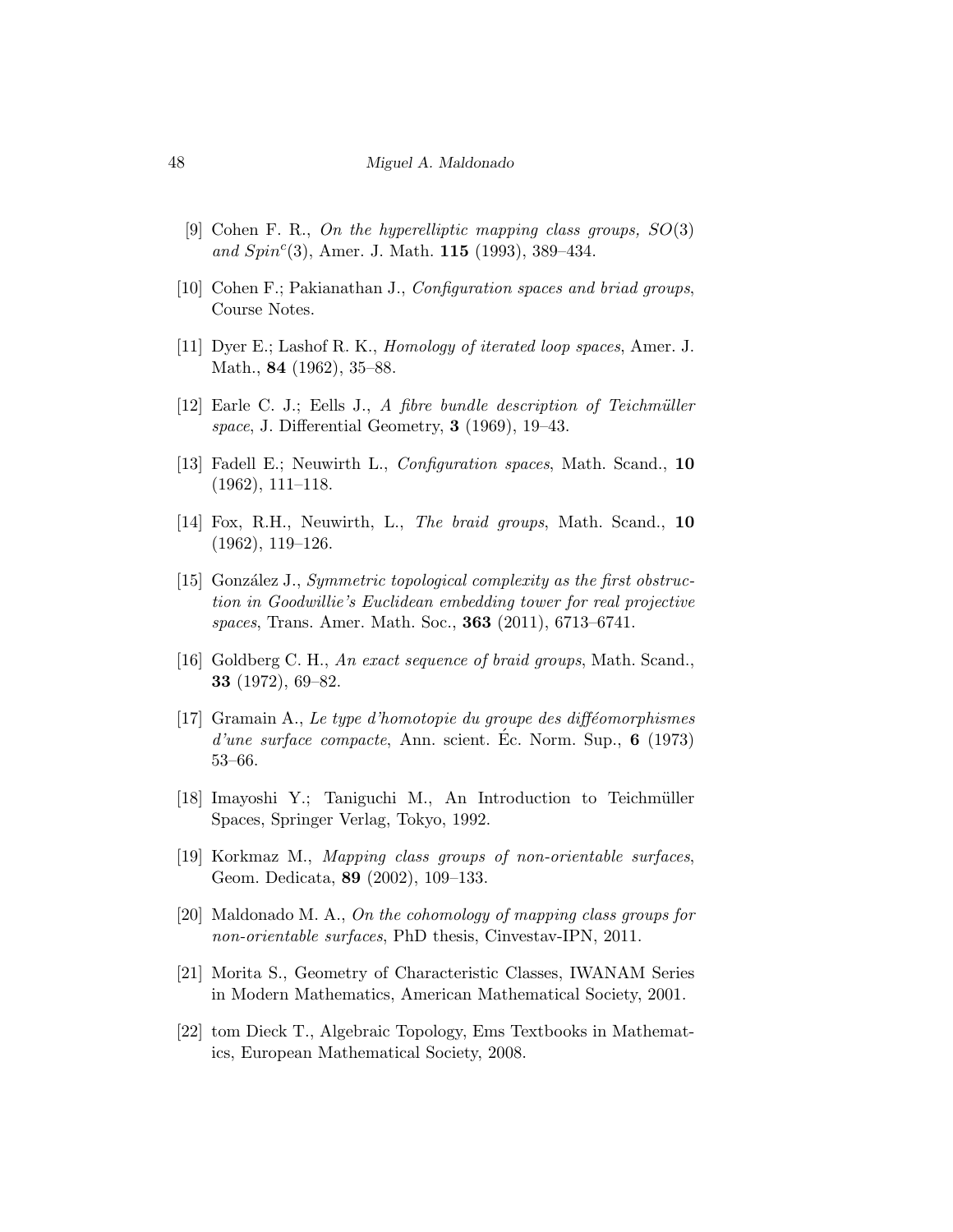#### 48 Miguel A. Maldonado

- [9] Cohen F. R., On the hyperelliptic mapping class groups, SO(3) and  $Spin<sup>c</sup>(3)$ , Amer. J. Math. 115 (1993), 389-434.
- [10] Cohen F.; Pakianathan J., Configuration spaces and briad groups, Course Notes.
- [11] Dyer E.; Lashof R. K., Homology of iterated loop spaces, Amer. J. Math., 84 (1962), 35–88.
- $[12]$  Earle C. J.; Eells J., A fibre bundle description of Teichmüller space, J. Differential Geometry, 3 (1969), 19–43.
- [13] Fadell E.; Neuwirth L., Configuration spaces, Math. Scand., 10 (1962), 111–118.
- [14] Fox, R.H., Neuwirth, L., The braid groups, Math. Scand., 10 (1962), 119–126.
- [15] González J., Symmetric topological complexity as the first obstruction in Goodwillie's Euclidean embedding tower for real projective spaces, Trans. Amer. Math. Soc., 363 (2011), 6713–6741.
- [16] Goldberg C. H., An exact sequence of braid groups, Math. Scand., 33 (1972), 69–82.
- $[17]$  Gramain A., Le type d'homotopie du groupe des difféomorphismes  $d'une surface compacte, Ann. scient. Ec. Norm. Sup.,  $6$  (1973)$ 53–66.
- [18] Imayoshi Y.; Taniguchi M., An Introduction to Teichmüller Spaces, Springer Verlag, Tokyo, 1992.
- [19] Korkmaz M., Mapping class groups of non-orientable surfaces, Geom. Dedicata, 89 (2002), 109–133.
- [20] Maldonado M. A., On the cohomology of mapping class groups for non-orientable surfaces, PhD thesis, Cinvestav-IPN, 2011.
- [21] Morita S., Geometry of Characteristic Classes, IWANAM Series in Modern Mathematics, American Mathematical Society, 2001.
- [22] tom Dieck T., Algebraic Topology, Ems Textbooks in Mathematics, European Mathematical Society, 2008.